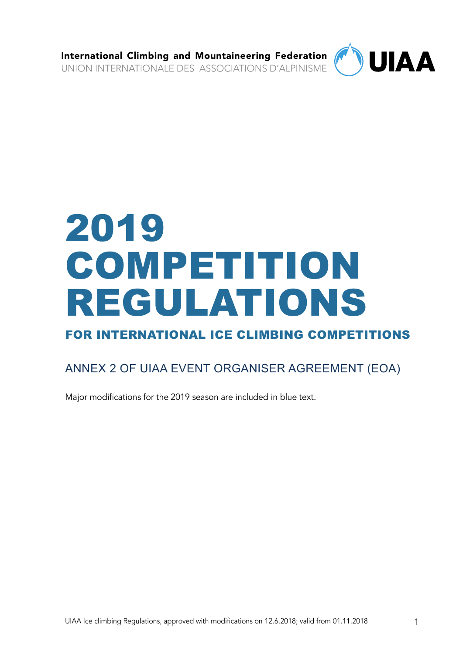International Climbing and Mountaineering Federation UNION INTERNATIONALE DES ASSOCIATIONS D'ALPINISME



# 2019 COMPETITION REGULATIONS

FOR INTERNATIONAL ICE CLIMBING COMPETITIONS

# ANNEX 2 OF UIAA EVENT ORGANISER AGREEMENT (EOA)

Major modifications for the 2019 season are included in blue text.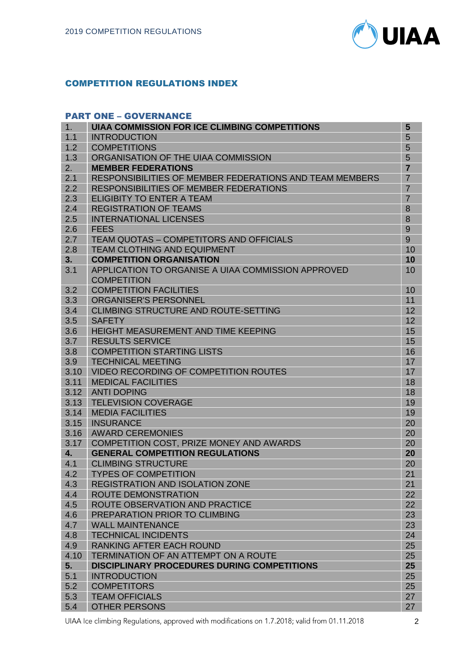

# COMPETITION REGULATIONS INDEX

#### PART ONE – GOVERNANCE

| 1.   | <b>UIAA COMMISSION FOR ICE CLIMBING COMPETITIONS</b>           | 5              |
|------|----------------------------------------------------------------|----------------|
| 1.1  | <b>INTRODUCTION</b>                                            | 5              |
| 1.2  | <b>COMPETITIONS</b>                                            | 5              |
| 1.3  | ORGANISATION OF THE UIAA COMMISSION                            | 5              |
| 2.   | <b>MEMBER FEDERATIONS</b>                                      | $\overline{7}$ |
| 2.1  | <b>RESPONSIBILITIES OF MEMBER FEDERATIONS AND TEAM MEMBERS</b> | $\overline{7}$ |
| 2.2  | <b>RESPONSIBILITIES OF MEMBER FEDERATIONS</b>                  | $\overline{7}$ |
| 2.3  | <b>ELIGIBITY TO ENTER A TEAM</b>                               | $\overline{7}$ |
| 2.4  | <b>REGISTRATION OF TEAMS</b>                                   | 8              |
| 2.5  | <b>INTERNATIONAL LICENSES</b>                                  | 8              |
| 2.6  | <b>FEES</b>                                                    | 9              |
| 2.7  | TEAM QUOTAS - COMPETITORS AND OFFICIALS                        | 9              |
| 2.8  | <b>TEAM CLOTHING AND EQUIPMENT</b>                             | 10             |
| 3.   | <b>COMPETITION ORGANISATION</b>                                | 10             |
| 3.1  | APPLICATION TO ORGANISE A UIAA COMMISSION APPROVED             | 10             |
|      | <b>COMPETITION</b>                                             |                |
| 3.2  | <b>COMPETITION FACILITIES</b>                                  | 10             |
| 3.3  | <b>ORGANISER'S PERSONNEL</b>                                   | 11             |
| 3.4  | <b>CLIMBING STRUCTURE AND ROUTE-SETTING</b>                    | 12             |
| 3.5  | <b>SAFETY</b>                                                  | 12             |
| 3.6  | HEIGHT MEASUREMENT AND TIME KEEPING                            | 15             |
| 3.7  | <b>RESULTS SERVICE</b>                                         | 15             |
| 3.8  | <b>COMPETITION STARTING LISTS</b>                              | 16             |
| 3.9  | <b>TECHNICAL MEETING</b>                                       | 17             |
| 3.10 | VIDEO RECORDING OF COMPETITION ROUTES                          | 17             |
| 3.11 | <b>MEDICAL FACILITIES</b>                                      | 18             |
| 3.12 | <b>ANTI DOPING</b>                                             | 18             |
| 3.13 | <b>TELEVISION COVERAGE</b>                                     | 19             |
| 3.14 | <b>MEDIA FACILITIES</b>                                        | 19             |
| 3.15 | <b>INSURANCE</b>                                               | 20             |
| 3.16 | <b>AWARD CEREMONIES</b>                                        | 20             |
| 3.17 | COMPETITION COST, PRIZE MONEY AND AWARDS                       | 20             |
| 4.   | <b>GENERAL COMPETITION REGULATIONS</b>                         | 20             |
| 4.1  | <b>CLIMBING STRUCTURE</b>                                      | 20             |
| 4.2  | <b>TYPES OF COMPETITION</b>                                    | 21             |
| 4.3  | <b>REGISTRATION AND ISOLATION ZONE</b>                         | 21             |
| 4.4  | <b>ROUTE DEMONSTRATION</b>                                     | 22             |
| 4.5  | ROUTE OBSERVATION AND PRACTICE                                 | 22             |
| 4.6  | PREPARATION PRIOR TO CLIMBING                                  | 23             |
| 4.7  | <b>WALL MAINTENANCE</b>                                        | 23             |
| 4.8  | <b>TECHNICAL INCIDENTS</b>                                     | 24             |
| 4.9  | RANKING AFTER EACH ROUND                                       | 25             |
| 4.10 | <b>TERMINATION OF AN ATTEMPT ON A ROUTE</b>                    | 25             |
| 5.   | <b>DISCIPLINARY PROCEDURES DURING COMPETITIONS</b>             | 25             |
| 5.1  | <b>INTRODUCTION</b>                                            | 25             |
| 5.2  | <b>COMPETITORS</b>                                             | 25             |
| 5.3  | <b>TEAM OFFICIALS</b>                                          | 27             |
| 5.4  | <b>OTHER PERSONS</b>                                           | 27             |

UIAA Ice climbing Regulations, approved with modifications on 1.7.2018; valid from 01.11.2018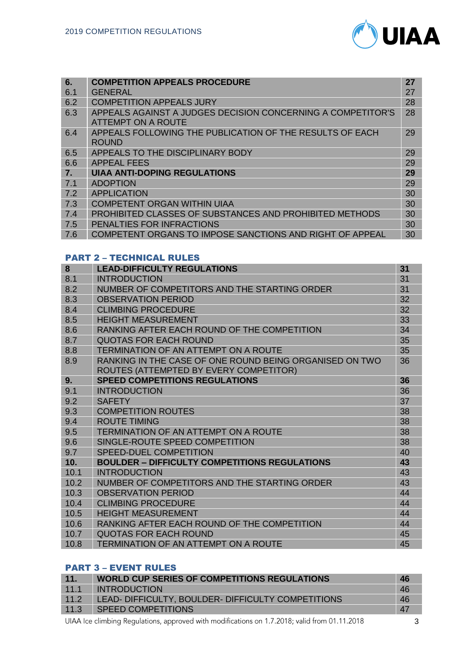

| 6.<br>6.1 | <b>COMPETITION APPEALS PROCEDURE</b><br><b>GENERAL</b>                                   | 27<br>27 |
|-----------|------------------------------------------------------------------------------------------|----------|
| 6.2       | <b>COMPETITION APPEALS JURY</b>                                                          | 28       |
| 6.3       | APPEALS AGAINST A JUDGES DECISION CONCERNING A COMPETITOR'S<br><b>ATTEMPT ON A ROUTE</b> | 28       |
| 6.4       | APPEALS FOLLOWING THE PUBLICATION OF THE RESULTS OF EACH<br><b>ROUND</b>                 | 29       |
| 6.5       | APPEALS TO THE DISCIPLINARY BODY                                                         | 29       |
| 6.6       | <b>APPEAL FEES</b>                                                                       | 29       |
| 7.        | <b>UIAA ANTI-DOPING REGULATIONS</b>                                                      | 29       |
| 7.1       | <b>ADOPTION</b>                                                                          | 29       |
| 7.2       | <b>APPLICATION</b>                                                                       | 30       |
| 7.3       | <b>COMPETENT ORGAN WITHIN UIAA</b>                                                       | 30       |
| 7.4       | <b>PROHIBITED CLASSES OF SUBSTANCES AND PROHIBITED METHODS</b>                           | 30       |
| 7.5       | PENALTIES FOR INFRACTIONS                                                                | 30       |
| 7.6       | COMPETENT ORGANS TO IMPOSE SANCTIONS AND RIGHT OF APPEAL                                 | 30       |

#### PART 2 – TECHNICAL RULES

| 8    | <b>LEAD-DIFFICULTY REGULATIONS</b>                      | 31 |
|------|---------------------------------------------------------|----|
| 8.1  | <b>INTRODUCTION</b>                                     | 31 |
| 8.2  | NUMBER OF COMPETITORS AND THE STARTING ORDER            | 31 |
| 8.3  | <b>OBSERVATION PERIOD</b>                               | 32 |
| 8.4  | <b>CLIMBING PROCEDURE</b>                               | 32 |
| 8.5  | <b>HEIGHT MEASUREMENT</b>                               | 33 |
| 8.6  | RANKING AFTER EACH ROUND OF THE COMPETITION             | 34 |
| 8.7  | <b>QUOTAS FOR EACH ROUND</b>                            | 35 |
| 8.8  | TERMINATION OF AN ATTEMPT ON A ROUTE                    | 35 |
| 8.9  | RANKING IN THE CASE OF ONE ROUND BEING ORGANISED ON TWO | 36 |
|      | ROUTES (ATTEMPTED BY EVERY COMPETITOR)                  |    |
| 9.   | <b>SPEED COMPETITIONS REGULATIONS</b>                   | 36 |
| 9.1  | <b>INTRODUCTION</b>                                     | 36 |
| 9.2  | <b>SAFETY</b>                                           | 37 |
| 9.3  | <b>COMPETITION ROUTES</b>                               | 38 |
| 9.4  | <b>ROUTE TIMING</b>                                     | 38 |
| 9.5  | <b>TERMINATION OF AN ATTEMPT ON A ROUTE</b>             | 38 |
| 9.6  | SINGLE-ROUTE SPEED COMPETITION                          | 38 |
| 9.7  | <b>SPEED-DUEL COMPETITION</b>                           | 40 |
| 10.  | <b>BOULDER - DIFFICULTY COMPETITIONS REGULATIONS</b>    | 43 |
| 10.1 | <b>INTRODUCTION</b>                                     | 43 |
| 10.2 | NUMBER OF COMPETITORS AND THE STARTING ORDER            | 43 |
| 10.3 | <b>OBSERVATION PERIOD</b>                               | 44 |
| 10.4 | <b>CLIMBING PROCEDURE</b>                               | 44 |
| 10.5 | <b>HEIGHT MEASUREMENT</b>                               | 44 |
| 10.6 | RANKING AFTER EACH ROUND OF THE COMPETITION             | 44 |
| 10.7 | <b>QUOTAS FOR EACH ROUND</b>                            | 45 |
| 10.8 | <b>TERMINATION OF AN ATTEMPT ON A ROUTE</b>             | 45 |

# PART 3 – EVENT RULES

| 11.  | <b>WORLD CUP SERIES OF COMPETITIONS REGULATIONS</b> | 46 |
|------|-----------------------------------------------------|----|
| 11.1 | <b>INTRODUCTION</b>                                 | 46 |
| 11.2 | LEAD- DIFFICULTY, BOULDER- DIFFICULTY COMPETITIONS  | 46 |
| 11.3 | <b>SPEED COMPETITIONS</b>                           | 47 |
|      |                                                     |    |

UIAA Ice climbing Regulations, approved with modifications on 1.7.2018; valid from 01.11.2018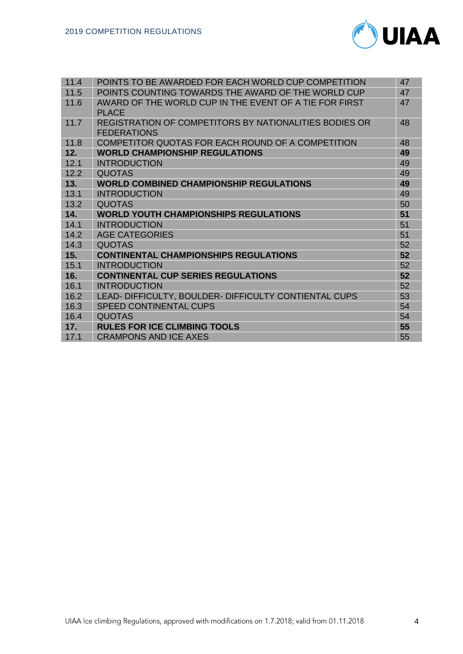

| 11.4 | POINTS TO BE AWARDED FOR EACH WORLD CUP COMPETITION    | 47 |
|------|--------------------------------------------------------|----|
|      |                                                        |    |
| 11.5 | POINTS COUNTING TOWARDS THE AWARD OF THE WORLD CUP     | 47 |
| 11.6 | AWARD OF THE WORLD CUP IN THE EVENT OF A TIE FOR FIRST | 47 |
|      | <b>PLACE</b>                                           |    |
| 11.7 | REGISTRATION OF COMPETITORS BY NATIONALITIES BODIES OR | 48 |
|      | <b>FEDERATIONS</b>                                     |    |
| 11.8 | COMPETITOR QUOTAS FOR EACH ROUND OF A COMPETITION      | 48 |
| 12.  | <b>WORLD CHAMPIONSHIP REGULATIONS</b>                  | 49 |
| 12.1 | <b>INTRODUCTION</b>                                    | 49 |
| 12.2 | <b>QUOTAS</b>                                          | 49 |
| 13.  | <b>WORLD COMBINED CHAMPIONSHIP REGULATIONS</b>         | 49 |
| 13.1 | <b>INTRODUCTION</b>                                    | 49 |
| 13.2 | <b>QUOTAS</b>                                          | 50 |
|      |                                                        |    |
| 14.  | <b>WORLD YOUTH CHAMPIONSHIPS REGULATIONS</b>           | 51 |
| 14.1 | <b>INTRODUCTION</b>                                    | 51 |
| 14.2 | <b>AGE CATEGORIES</b>                                  | 51 |
| 14.3 | <b>QUOTAS</b>                                          | 52 |
| 15.  | <b>CONTINENTAL CHAMPIONSHIPS REGULATIONS</b>           | 52 |
| 15.1 | <b>INTRODUCTION</b>                                    | 52 |
| 16.  | <b>CONTINENTAL CUP SERIES REGULATIONS</b>              | 52 |
| 16.1 | <b>INTRODUCTION</b>                                    | 52 |
| 16.2 | LEAD- DIFFICULTY, BOULDER- DIFFICULTY CONTIENTAL CUPS  | 53 |
| 16.3 | <b>SPEED CONTINENTAL CUPS</b>                          | 54 |
| 16.4 | <b>QUOTAS</b>                                          | 54 |
| 17.  | <b>RULES FOR ICE CLIMBING TOOLS</b>                    | 55 |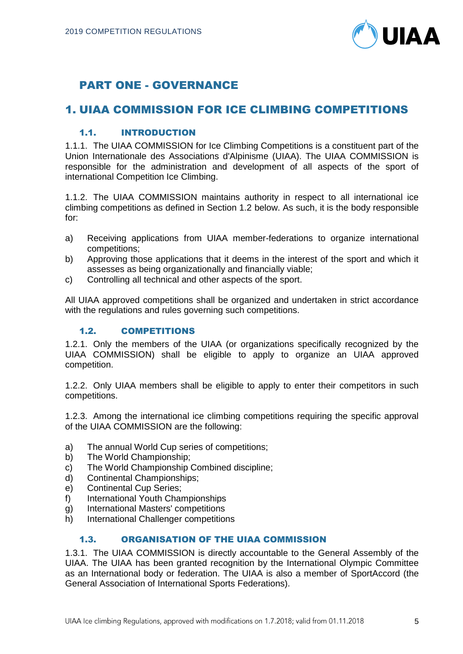

# PART ONE - GOVERNANCE

# 1. UIAA COMMISSION FOR ICE CLIMBING COMPETITIONS

# 1.1. INTRODUCTION

1.1.1. The UIAA COMMISSION for Ice Climbing Competitions is a constituent part of the Union Internationale des Associations d'Alpinisme (UIAA). The UIAA COMMISSION is responsible for the administration and development of all aspects of the sport of international Competition Ice Climbing.

1.1.2. The UIAA COMMISSION maintains authority in respect to all international ice climbing competitions as defined in Section 1.2 below. As such, it is the body responsible for:

- a) Receiving applications from UIAA member-federations to organize international competitions;
- b) Approving those applications that it deems in the interest of the sport and which it assesses as being organizationally and financially viable;
- c) Controlling all technical and other aspects of the sport.

All UIAA approved competitions shall be organized and undertaken in strict accordance with the regulations and rules governing such competitions.

# 1.2. COMPETITIONS

1.2.1. Only the members of the UIAA (or organizations specifically recognized by the UIAA COMMISSION) shall be eligible to apply to organize an UIAA approved competition.

1.2.2. Only UIAA members shall be eligible to apply to enter their competitors in such competitions.

1.2.3. Among the international ice climbing competitions requiring the specific approval of the UIAA COMMISSION are the following:

- a) The annual World Cup series of competitions;
- b) The World Championship;
- c) The World Championship Combined discipline;
- d) Continental Championships;
- e) Continental Cup Series;
- f) International Youth Championships
- g) International Masters' competitions
- h) International Challenger competitions

# 1.3. ORGANISATION OF THE UIAA COMMISSION

1.3.1. The UIAA COMMISSION is directly accountable to the General Assembly of the UIAA. The UIAA has been granted recognition by the International Olympic Committee as an International body or federation. The UIAA is also a member of SportAccord (the General Association of International Sports Federations).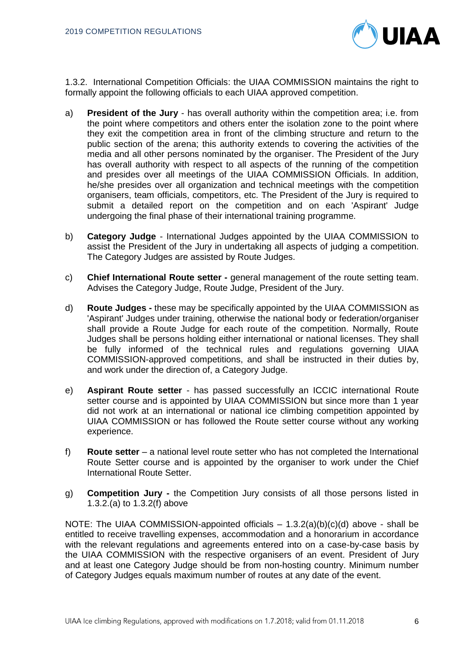

1.3.2. International Competition Officials: the UIAA COMMISSION maintains the right to formally appoint the following officials to each UIAA approved competition.

- a) **President of the Jury** has overall authority within the competition area; i.e. from the point where competitors and others enter the isolation zone to the point where they exit the competition area in front of the climbing structure and return to the public section of the arena; this authority extends to covering the activities of the media and all other persons nominated by the organiser. The President of the Jury has overall authority with respect to all aspects of the running of the competition and presides over all meetings of the UIAA COMMISSION Officials. In addition, he/she presides over all organization and technical meetings with the competition organisers, team officials, competitors, etc. The President of the Jury is required to submit a detailed report on the competition and on each 'Aspirant' Judge undergoing the final phase of their international training programme.
- b) **Category Judge** International Judges appointed by the UIAA COMMISSION to assist the President of the Jury in undertaking all aspects of judging a competition. The Category Judges are assisted by Route Judges.
- c) **Chief International Route setter -** general management of the route setting team. Advises the Category Judge, Route Judge, President of the Jury.
- d) **Route Judges -** these may be specifically appointed by the UIAA COMMISSION as 'Aspirant' Judges under training, otherwise the national body or federation/organiser shall provide a Route Judge for each route of the competition. Normally, Route Judges shall be persons holding either international or national licenses. They shall be fully informed of the technical rules and regulations governing UIAA COMMISSION-approved competitions, and shall be instructed in their duties by, and work under the direction of, a Category Judge.
- e) **Aspirant Route setter** has passed successfully an ICCIC international Route setter course and is appointed by UIAA COMMISSION but since more than 1 year did not work at an international or national ice climbing competition appointed by UIAA COMMISSION or has followed the Route setter course without any working experience.
- f) **Route setter** a national level route setter who has not completed the International Route Setter course and is appointed by the organiser to work under the Chief International Route Setter.
- g) **Competition Jury -** the Competition Jury consists of all those persons listed in 1.3.2.(a) to 1.3.2(f) above

NOTE: The UIAA COMMISSION-appointed officials – 1.3.2(a)(b)(c)(d) above - shall be entitled to receive travelling expenses, accommodation and a honorarium in accordance with the relevant regulations and agreements entered into on a case-by-case basis by the UIAA COMMISSION with the respective organisers of an event. President of Jury and at least one Category Judge should be from non-hosting country. Minimum number of Category Judges equals maximum number of routes at any date of the event.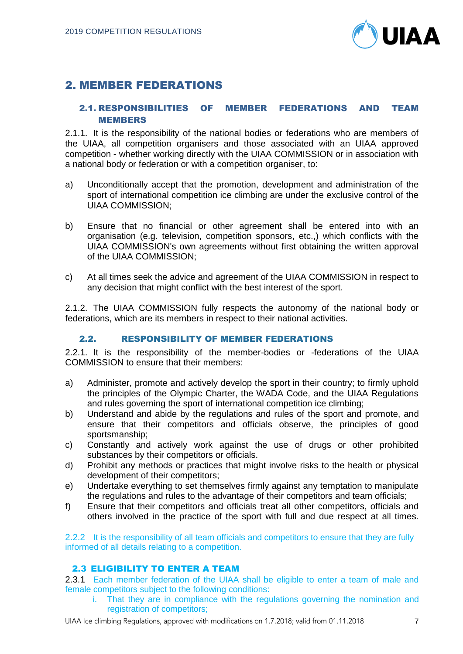

# 2. MEMBER FEDERATIONS

# 2.1. RESPONSIBILITIES OF MEMBER FEDERATIONS AND TEAM MEMBERS

2.1.1. It is the responsibility of the national bodies or federations who are members of the UIAA, all competition organisers and those associated with an UIAA approved competition - whether working directly with the UIAA COMMISSION or in association with a national body or federation or with a competition organiser, to:

- a) Unconditionally accept that the promotion, development and administration of the sport of international competition ice climbing are under the exclusive control of the UIAA COMMISSION;
- b) Ensure that no financial or other agreement shall be entered into with an organisation (e.g. television, competition sponsors, etc.,) which conflicts with the UIAA COMMISSION's own agreements without first obtaining the written approval of the UIAA COMMISSION;
- c) At all times seek the advice and agreement of the UIAA COMMISSION in respect to any decision that might conflict with the best interest of the sport.

2.1.2. The UIAA COMMISSION fully respects the autonomy of the national body or federations, which are its members in respect to their national activities.

## 2.2. RESPONSIBILITY OF MEMBER FEDERATIONS

2.2.1. It is the responsibility of the member-bodies or -federations of the UIAA COMMISSION to ensure that their members:

- a) Administer, promote and actively develop the sport in their country; to firmly uphold the principles of the Olympic Charter, the WADA Code, and the UIAA Regulations and rules governing the sport of international competition ice climbing;
- b) Understand and abide by the regulations and rules of the sport and promote, and ensure that their competitors and officials observe, the principles of good sportsmanship;
- c) Constantly and actively work against the use of drugs or other prohibited substances by their competitors or officials.
- d) Prohibit any methods or practices that might involve risks to the health or physical development of their competitors;
- e) Undertake everything to set themselves firmly against any temptation to manipulate the regulations and rules to the advantage of their competitors and team officials;
- f) Ensure that their competitors and officials treat all other competitors, officials and others involved in the practice of the sport with full and due respect at all times.

2.2.2 It is the responsibility of all team officials and competitors to ensure that they are fully informed of all details relating to a competition.

# 2.3 ELIGIBILITY TO ENTER A TEAM

2.3.1 Each member federation of the UIAA shall be eligible to enter a team of male and female competitors subject to the following conditions:

i. That they are in compliance with the regulations governing the nomination and registration of competitors;

UIAA Ice climbing Regulations, approved with modifications on 1.7.2018; valid from 01.11.2018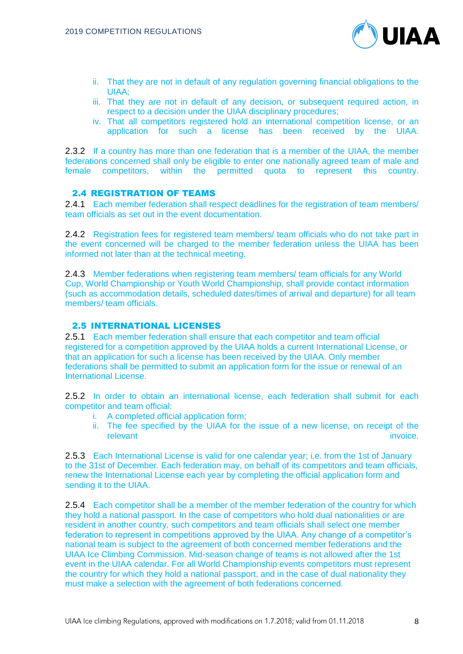

- ii. That they are not in default of any regulation governing financial obligations to the UIAA;
- iii. That they are not in default of any decision, or subsequent required action, in respect to a decision under the UIAA disciplinary procedures;
- iv. That all competitors registered hold an international competition license, or an application for such a license has been received by the UIAA.

2.3.2 If a country has more than one federation that is a member of the UIAA, the member federations concerned shall only be eligible to enter one nationally agreed team of male and female competitors, within the permitted quota to represent this country.

#### 2.4 REGISTRATION OF TEAMS

2.4.1 Each member federation shall respect deadlines for the registration of team members/ team officials as set out in the event documentation.

2.4.2 Registration fees for registered team members/ team officials who do not take part in the event concerned will be charged to the member federation unless the UIAA has been informed not later than at the technical meeting.

2.4.3 Member federations when registering team members/ team officials for any World Cup, World Championship or Youth World Championship, shall provide contact information (such as accommodation details, scheduled dates/times of arrival and departure) for all team members/ team officials.

#### 2.5 INTERNATIONAL LICENSES

2.5.1 Each member federation shall ensure that each competitor and team official registered for a competition approved by the UIAA holds a current International License, or that an application for such a license has been received by the UIAA. Only member federations shall be permitted to submit an application form for the issue or renewal of an International License.

2.5.2 In order to obtain an international license, each federation shall submit for each competitor and team official:

- i. A completed official application form;
- ii. The fee specified by the UIAA for the issue of a new license, on receipt of the relevant invoice.

2.5.3 Each International License is valid for one calendar year; i.e. from the 1st of January to the 31st of December. Each federation may, on behalf of its competitors and team officials, renew the International License each year by completing the official application form and sending it to the UIAA.

2.5.4 Each competitor shall be a member of the member federation of the country for which they hold a national passport. In the case of competitors who hold dual nationalities or are resident in another country, such competitors and team officials shall select one member federation to represent in competitions approved by the UIAA. Any change of a competitor's national team is subject to the agreement of both concerned member federations and the UIAA Ice Climbing Commission. Mid-season change of teams is not allowed after the 1st event in the UIAA calendar. For all World Championship events competitors must represent the country for which they hold a national passport, and in the case of dual nationality they must make a selection with the agreement of both federations concerned.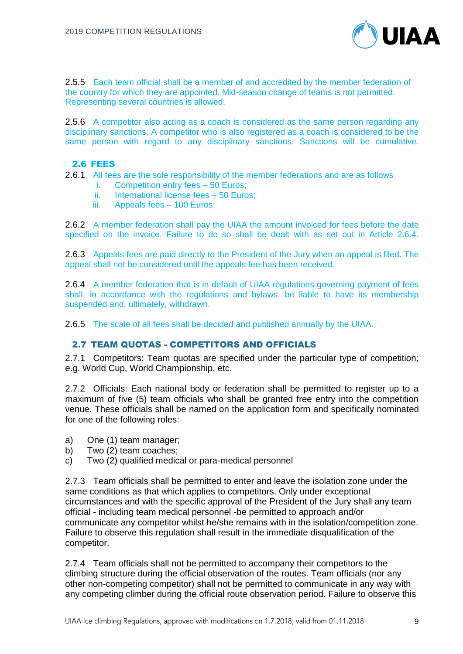

2.5.5 Each team official shall be a member of and accredited by the member federation of the country for which they are appointed. Mid-season change of teams is not permitted. Representing several countries is allowed.

2.5.6 A competitor also acting as a coach is considered as the same person regarding any disciplinary sanctions. A competitor who is also registered as a coach is considered to be the same person with regard to any disciplinary sanctions. Sanctions will be cumulative.

# 2.6 FEES

2.6.1 All fees are the sole responsibility of the member federations and are as follows

- i. Competition entry fees 50 Euros;
- ii. International license fees 50 Euros;
- iii. Appeals fees 100 Euros;

2.6.2 A member federation shall pay the UIAA the amount invoiced for fees before the date specified on the invoice. Failure to do so shall be dealt with as set out in Article 2.6.4.

2.6.3 Appeals fees are paid directly to the President of the Jury when an appeal is filed. The appeal shall not be considered until the appeals fee has been received.

2.6.4 A member federation that is in default of UIAA regulations governing payment of fees shall, in accordance with the regulations and bylaws, be liable to have its membership suspended and, ultimately, withdrawn.

2.6.5 The scale of all fees shall be decided and published annually by the UIAA.

# 2.7 TEAM QUOTAS - COMPETITORS AND OFFICIALS

2.7.1 Competitors: Team quotas are specified under the particular type of competition; e.g. World Cup, World Championship, etc.

2.7.2 Officials: Each national body or federation shall be permitted to register up to a maximum of five (5) team officials who shall be granted free entry into the competition venue. These officials shall be named on the application form and specifically nominated for one of the following roles:

- a) One (1) team manager;
- b) Two (2) team coaches;
- c) Two (2) qualified medical or para-medical personnel

2.7.3 Team officials shall be permitted to enter and leave the isolation zone under the same conditions as that which applies to competitors. Only under exceptional circumstances and with the specific approval of the President of the Jury shall any team official - including team medical personnel -be permitted to approach and/or communicate any competitor whilst he/she remains with in the isolation/competition zone. Failure to observe this regulation shall result in the immediate disqualification of the competitor.

2.7.4 Team officials shall not be permitted to accompany their competitors to the climbing structure during the official observation of the routes. Team officials (nor any other non-competing competitor) shall not be permitted to communicate in any way with any competing climber during the official route observation period. Failure to observe this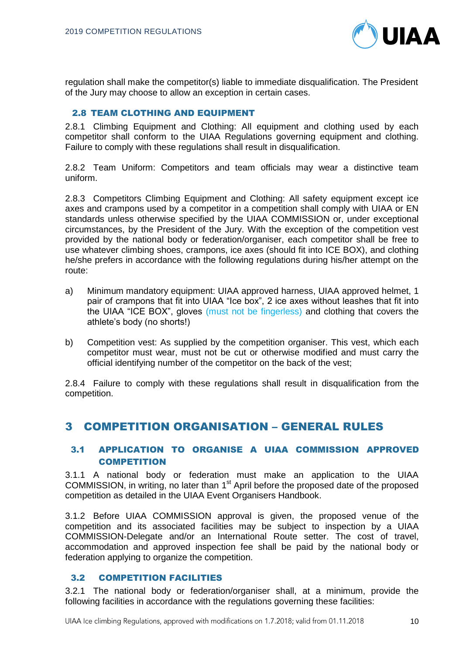

regulation shall make the competitor(s) liable to immediate disqualification. The President of the Jury may choose to allow an exception in certain cases.

# 2.8 TEAM CLOTHING AND EQUIPMENT

2.8.1 Climbing Equipment and Clothing: All equipment and clothing used by each competitor shall conform to the UIAA Regulations governing equipment and clothing. Failure to comply with these regulations shall result in disqualification.

2.8.2 Team Uniform: Competitors and team officials may wear a distinctive team uniform.

2.8.3 Competitors Climbing Equipment and Clothing: All safety equipment except ice axes and crampons used by a competitor in a competition shall comply with UIAA or EN standards unless otherwise specified by the UIAA COMMISSION or, under exceptional circumstances, by the President of the Jury. With the exception of the competition vest provided by the national body or federation/organiser, each competitor shall be free to use whatever climbing shoes, crampons, ice axes (should fit into ICE BOX), and clothing he/she prefers in accordance with the following regulations during his/her attempt on the route:

- a) Minimum mandatory equipment: UIAA approved harness, UIAA approved helmet, 1 pair of crampons that fit into UIAA "Ice box", 2 ice axes without leashes that fit into the UIAA "ICE BOX", gloves (must not be fingerless) and clothing that covers the athlete's body (no shorts!)
- b) Competition vest: As supplied by the competition organiser. This vest, which each competitor must wear, must not be cut or otherwise modified and must carry the official identifying number of the competitor on the back of the vest;

2.8.4 Failure to comply with these regulations shall result in disqualification from the competition.

# 3 COMPETITION ORGANISATION – GENERAL RULES

# 3.1 APPLICATION TO ORGANISE A UIAA COMMISSION APPROVED COMPETITION

3.1.1 A national body or federation must make an application to the UIAA COMMISSION, in writing, no later than 1<sup>st</sup> April before the proposed date of the proposed competition as detailed in the UIAA Event Organisers Handbook.

3.1.2 Before UIAA COMMISSION approval is given, the proposed venue of the competition and its associated facilities may be subject to inspection by a UIAA COMMISSION-Delegate and/or an International Route setter. The cost of travel, accommodation and approved inspection fee shall be paid by the national body or federation applying to organize the competition.

## 3.2 COMPETITION FACILITIES

3.2.1 The national body or federation/organiser shall, at a minimum, provide the following facilities in accordance with the regulations governing these facilities: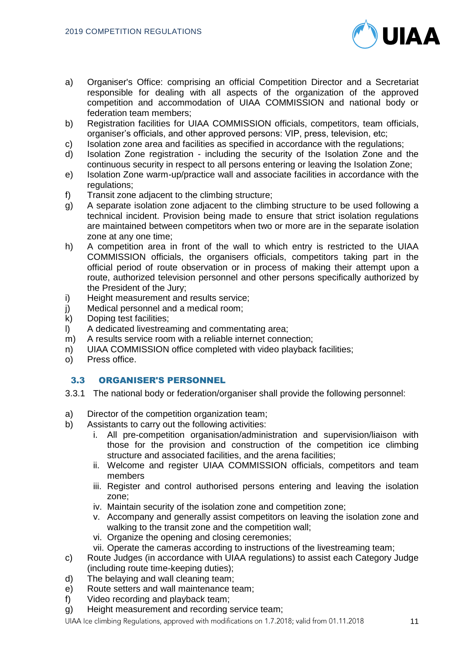

- a) Organiser's Office: comprising an official Competition Director and a Secretariat responsible for dealing with all aspects of the organization of the approved competition and accommodation of UIAA COMMISSION and national body or federation team members;
- b) Registration facilities for UIAA COMMISSION officials, competitors, team officials, organiser's officials, and other approved persons: VIP, press, television, etc;
- c) Isolation zone area and facilities as specified in accordance with the regulations;
- d) Isolation Zone registration including the security of the Isolation Zone and the continuous security in respect to all persons entering or leaving the Isolation Zone;
- e) Isolation Zone warm-up/practice wall and associate facilities in accordance with the regulations:
- f) Transit zone adjacent to the climbing structure;
- g) A separate isolation zone adjacent to the climbing structure to be used following a technical incident. Provision being made to ensure that strict isolation regulations are maintained between competitors when two or more are in the separate isolation zone at any one time;
- h) A competition area in front of the wall to which entry is restricted to the UIAA COMMISSION officials, the organisers officials, competitors taking part in the official period of route observation or in process of making their attempt upon a route, authorized television personnel and other persons specifically authorized by the President of the Jury;
- i) Height measurement and results service;
- j) Medical personnel and a medical room;
- k) Doping test facilities;
- l) A dedicated livestreaming and commentating area;
- m) A results service room with a reliable internet connection;
- n) UIAA COMMISSION office completed with video playback facilities;
- o) Press office.

## 3.3 ORGANISER'S PERSONNEL

- 3.3.1 The national body or federation/organiser shall provide the following personnel:
- a) Director of the competition organization team;
- b) Assistants to carry out the following activities:
	- i. All pre-competition organisation/administration and supervision/liaison with those for the provision and construction of the competition ice climbing structure and associated facilities, and the arena facilities;
	- ii. Welcome and register UIAA COMMISSION officials, competitors and team members
	- iii. Register and control authorised persons entering and leaving the isolation zone;
	- iv. Maintain security of the isolation zone and competition zone;
	- v. Accompany and generally assist competitors on leaving the isolation zone and walking to the transit zone and the competition wall;
	- vi. Organize the opening and closing ceremonies;
	- vii. Operate the cameras according to instructions of the livestreaming team;
- c) Route Judges (in accordance with UIAA regulations) to assist each Category Judge (including route time-keeping duties);
- d) The belaying and wall cleaning team;
- e) Route setters and wall maintenance team;
- f) Video recording and playback team;
- g) Height measurement and recording service team;

UIAA Ice climbing Regulations, approved with modifications on 1.7.2018; valid from 01.11.2018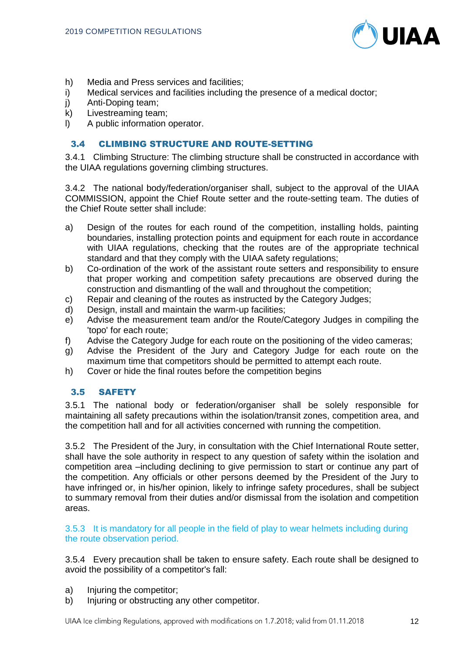

- h) Media and Press services and facilities;
- i) Medical services and facilities including the presence of a medical doctor;
- j) Anti-Doping team;
- k) Livestreaming team;
- l) A public information operator.

# 3.4 CLIMBING STRUCTURE AND ROUTE-SETTING

3.4.1 Climbing Structure: The climbing structure shall be constructed in accordance with the UIAA regulations governing climbing structures.

3.4.2 The national body/federation/organiser shall, subject to the approval of the UIAA COMMISSION, appoint the Chief Route setter and the route-setting team. The duties of the Chief Route setter shall include:

- a) Design of the routes for each round of the competition, installing holds, painting boundaries, installing protection points and equipment for each route in accordance with UIAA regulations, checking that the routes are of the appropriate technical standard and that they comply with the UIAA safety regulations;
- b) Co-ordination of the work of the assistant route setters and responsibility to ensure that proper working and competition safety precautions are observed during the construction and dismantling of the wall and throughout the competition;
- c) Repair and cleaning of the routes as instructed by the Category Judges;
- d) Design, install and maintain the warm-up facilities;
- e) Advise the measurement team and/or the Route/Category Judges in compiling the 'topo' for each route;
- f) Advise the Category Judge for each route on the positioning of the video cameras;
- g) Advise the President of the Jury and Category Judge for each route on the maximum time that competitors should be permitted to attempt each route.
- h) Cover or hide the final routes before the competition begins

## 3.5 SAFETY

3.5.1 The national body or federation/organiser shall be solely responsible for maintaining all safety precautions within the isolation/transit zones, competition area, and the competition hall and for all activities concerned with running the competition.

3.5.2 The President of the Jury, in consultation with the Chief International Route setter, shall have the sole authority in respect to any question of safety within the isolation and competition area –including declining to give permission to start or continue any part of the competition. Any officials or other persons deemed by the President of the Jury to have infringed or, in his/her opinion, likely to infringe safety procedures, shall be subject to summary removal from their duties and/or dismissal from the isolation and competition areas.

#### 3.5.3 It is mandatory for all people in the field of play to wear helmets including during the route observation period.

3.5.4 Every precaution shall be taken to ensure safety. Each route shall be designed to avoid the possibility of a competitor's fall:

- a) Injuring the competitor;
- b) Injuring or obstructing any other competitor.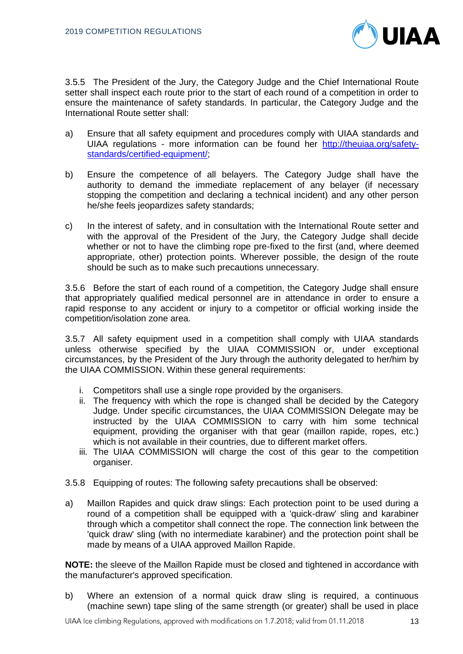

3.5.5 The President of the Jury, the Category Judge and the Chief International Route setter shall inspect each route prior to the start of each round of a competition in order to ensure the maintenance of safety standards. In particular, the Category Judge and the International Route setter shall:

- a) Ensure that all safety equipment and procedures comply with UIAA standards and UIAA regulations - more information can be found her [http://theuiaa.org/safety](http://theuiaa.org/safety-standards/certified-equipment/)[standards/certified-equipment/;](http://theuiaa.org/safety-standards/certified-equipment/)
- b) Ensure the competence of all belayers. The Category Judge shall have the authority to demand the immediate replacement of any belayer (if necessary stopping the competition and declaring a technical incident) and any other person he/she feels jeopardizes safety standards;
- c) In the interest of safety, and in consultation with the International Route setter and with the approval of the President of the Jury, the Category Judge shall decide whether or not to have the climbing rope pre-fixed to the first (and, where deemed appropriate, other) protection points. Wherever possible, the design of the route should be such as to make such precautions unnecessary.

3.5.6 Before the start of each round of a competition, the Category Judge shall ensure that appropriately qualified medical personnel are in attendance in order to ensure a rapid response to any accident or injury to a competitor or official working inside the competition/isolation zone area.

3.5.7 All safety equipment used in a competition shall comply with UIAA standards unless otherwise specified by the UIAA COMMISSION or, under exceptional circumstances, by the President of the Jury through the authority delegated to her/him by the UIAA COMMISSION. Within these general requirements:

- i. Competitors shall use a single rope provided by the organisers.
- ii. The frequency with which the rope is changed shall be decided by the Category Judge. Under specific circumstances, the UIAA COMMISSION Delegate may be instructed by the UIAA COMMISSION to carry with him some technical equipment, providing the organiser with that gear (maillon rapide, ropes, etc.) which is not available in their countries, due to different market offers.
- iii. The UIAA COMMISSION will charge the cost of this gear to the competition organiser.
- 3.5.8 Equipping of routes: The following safety precautions shall be observed:
- a) Maillon Rapides and quick draw slings: Each protection point to be used during a round of a competition shall be equipped with a 'quick-draw' sling and karabiner through which a competitor shall connect the rope. The connection link between the 'quick draw' sling (with no intermediate karabiner) and the protection point shall be made by means of a UIAA approved Maillon Rapide.

**NOTE:** the sleeve of the Maillon Rapide must be closed and tightened in accordance with the manufacturer's approved specification.

b) Where an extension of a normal quick draw sling is required, a continuous (machine sewn) tape sling of the same strength (or greater) shall be used in place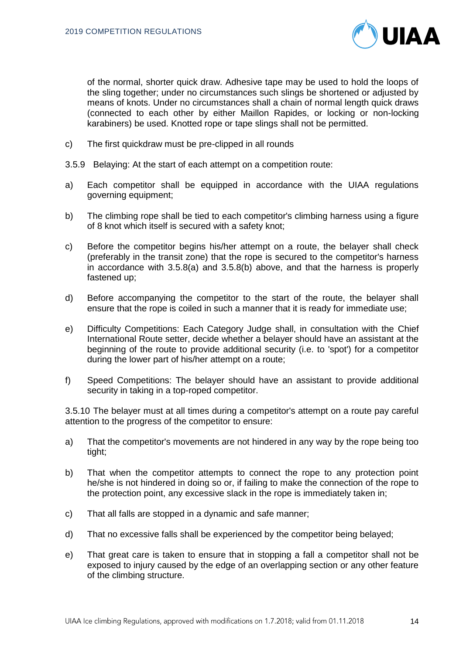

of the normal, shorter quick draw. Adhesive tape may be used to hold the loops of the sling together; under no circumstances such slings be shortened or adjusted by means of knots. Under no circumstances shall a chain of normal length quick draws (connected to each other by either Maillon Rapides, or locking or non-locking karabiners) be used. Knotted rope or tape slings shall not be permitted.

- c) The first quickdraw must be pre-clipped in all rounds
- 3.5.9 Belaying: At the start of each attempt on a competition route:
- a) Each competitor shall be equipped in accordance with the UIAA regulations governing equipment;
- b) The climbing rope shall be tied to each competitor's climbing harness using a figure of 8 knot which itself is secured with a safety knot;
- c) Before the competitor begins his/her attempt on a route, the belayer shall check (preferably in the transit zone) that the rope is secured to the competitor's harness in accordance with 3.5.8(a) and 3.5.8(b) above, and that the harness is properly fastened up;
- d) Before accompanying the competitor to the start of the route, the belayer shall ensure that the rope is coiled in such a manner that it is ready for immediate use;
- e) Difficulty Competitions: Each Category Judge shall, in consultation with the Chief International Route setter, decide whether a belayer should have an assistant at the beginning of the route to provide additional security (i.e. to 'spot') for a competitor during the lower part of his/her attempt on a route;
- f) Speed Competitions: The belayer should have an assistant to provide additional security in taking in a top-roped competitor.

3.5.10 The belayer must at all times during a competitor's attempt on a route pay careful attention to the progress of the competitor to ensure:

- a) That the competitor's movements are not hindered in any way by the rope being too tight;
- b) That when the competitor attempts to connect the rope to any protection point he/she is not hindered in doing so or, if failing to make the connection of the rope to the protection point, any excessive slack in the rope is immediately taken in;
- c) That all falls are stopped in a dynamic and safe manner;
- d) That no excessive falls shall be experienced by the competitor being belayed;
- e) That great care is taken to ensure that in stopping a fall a competitor shall not be exposed to injury caused by the edge of an overlapping section or any other feature of the climbing structure.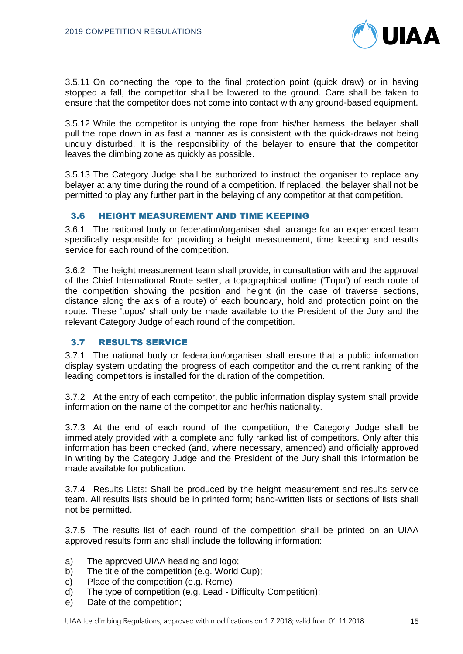

3.5.11 On connecting the rope to the final protection point (quick draw) or in having stopped a fall, the competitor shall be lowered to the ground. Care shall be taken to ensure that the competitor does not come into contact with any ground-based equipment.

3.5.12 While the competitor is untying the rope from his/her harness, the belayer shall pull the rope down in as fast a manner as is consistent with the quick-draws not being unduly disturbed. It is the responsibility of the belayer to ensure that the competitor leaves the climbing zone as quickly as possible.

3.5.13 The Category Judge shall be authorized to instruct the organiser to replace any belayer at any time during the round of a competition. If replaced, the belayer shall not be permitted to play any further part in the belaying of any competitor at that competition.

#### 3.6 HEIGHT MEASUREMENT AND TIME KEEPING

3.6.1 The national body or federation/organiser shall arrange for an experienced team specifically responsible for providing a height measurement, time keeping and results service for each round of the competition.

3.6.2 The height measurement team shall provide, in consultation with and the approval of the Chief International Route setter, a topographical outline ('Topo') of each route of the competition showing the position and height (in the case of traverse sections, distance along the axis of a route) of each boundary, hold and protection point on the route. These 'topos' shall only be made available to the President of the Jury and the relevant Category Judge of each round of the competition.

## 3.7 RESULTS SERVICE

3.7.1 The national body or federation/organiser shall ensure that a public information display system updating the progress of each competitor and the current ranking of the leading competitors is installed for the duration of the competition.

3.7.2 At the entry of each competitor, the public information display system shall provide information on the name of the competitor and her/his nationality.

3.7.3 At the end of each round of the competition, the Category Judge shall be immediately provided with a complete and fully ranked list of competitors. Only after this information has been checked (and, where necessary, amended) and officially approved in writing by the Category Judge and the President of the Jury shall this information be made available for publication.

3.7.4 Results Lists: Shall be produced by the height measurement and results service team. All results lists should be in printed form; hand-written lists or sections of lists shall not be permitted.

3.7.5 The results list of each round of the competition shall be printed on an UIAA approved results form and shall include the following information:

- a) The approved UIAA heading and logo;
- b) The title of the competition (e.g. World Cup);
- c) Place of the competition (e.g. Rome)
- d) The type of competition (e.g. Lead Difficulty Competition);
- e) Date of the competition;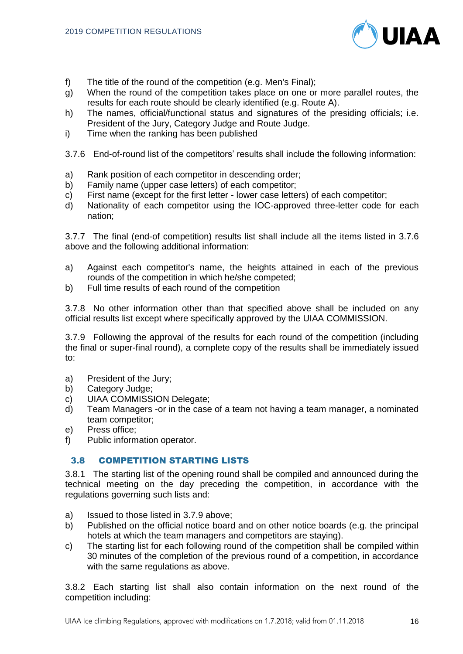

- f) The title of the round of the competition (e.g. Men's Final);
- g) When the round of the competition takes place on one or more parallel routes, the results for each route should be clearly identified (e.g. Route A).
- h) The names, official/functional status and signatures of the presiding officials; i.e. President of the Jury, Category Judge and Route Judge.
- i) Time when the ranking has been published
- 3.7.6 End-of-round list of the competitors' results shall include the following information:
- a) Rank position of each competitor in descending order;
- b) Family name (upper case letters) of each competitor;
- c) First name (except for the first letter lower case letters) of each competitor;
- d) Nationality of each competitor using the IOC-approved three-letter code for each nation;

3.7.7 The final (end-of competition) results list shall include all the items listed in 3.7.6 above and the following additional information:

- a) Against each competitor's name, the heights attained in each of the previous rounds of the competition in which he/she competed;
- b) Full time results of each round of the competition

3.7.8 No other information other than that specified above shall be included on any official results list except where specifically approved by the UIAA COMMISSION.

3.7.9 Following the approval of the results for each round of the competition (including the final or super-final round), a complete copy of the results shall be immediately issued to:

- a) President of the Jury;
- b) Category Judge;
- c) UIAA COMMISSION Delegate;
- d) Team Managers -or in the case of a team not having a team manager, a nominated team competitor;
- e) Press office;
- f) Public information operator.

## 3.8 COMPETITION STARTING LISTS

3.8.1 The starting list of the opening round shall be compiled and announced during the technical meeting on the day preceding the competition, in accordance with the regulations governing such lists and:

- a) Issued to those listed in 3.7.9 above;
- b) Published on the official notice board and on other notice boards (e.g. the principal hotels at which the team managers and competitors are staying).
- c) The starting list for each following round of the competition shall be compiled within 30 minutes of the completion of the previous round of a competition, in accordance with the same regulations as above.

3.8.2 Each starting list shall also contain information on the next round of the competition including: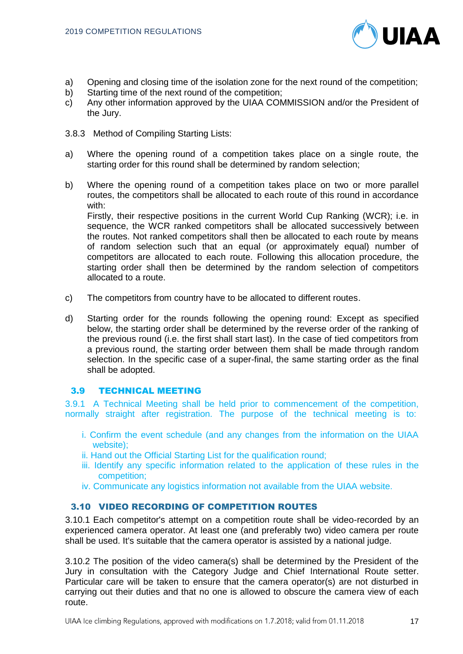

- a) Opening and closing time of the isolation zone for the next round of the competition;
- b) Starting time of the next round of the competition;
- c) Any other information approved by the UIAA COMMISSION and/or the President of the Jury.
- 3.8.3 Method of Compiling Starting Lists:
- a) Where the opening round of a competition takes place on a single route, the starting order for this round shall be determined by random selection;
- b) Where the opening round of a competition takes place on two or more parallel routes, the competitors shall be allocated to each route of this round in accordance with:

Firstly, their respective positions in the current World Cup Ranking (WCR); i.e. in sequence, the WCR ranked competitors shall be allocated successively between the routes. Not ranked competitors shall then be allocated to each route by means of random selection such that an equal (or approximately equal) number of competitors are allocated to each route. Following this allocation procedure, the starting order shall then be determined by the random selection of competitors allocated to a route.

- c) The competitors from country have to be allocated to different routes.
- d) Starting order for the rounds following the opening round: Except as specified below, the starting order shall be determined by the reverse order of the ranking of the previous round (i.e. the first shall start last). In the case of tied competitors from a previous round, the starting order between them shall be made through random selection. In the specific case of a super-final, the same starting order as the final shall be adopted.

## 3.9 TECHNICAL MEETING

3.9.1 A Technical Meeting shall be held prior to commencement of the competition, normally straight after registration. The purpose of the technical meeting is to:

- i. Confirm the event schedule (and any changes from the information on the UIAA website);
- ii. Hand out the Official Starting List for the qualification round;
- iii. Identify any specific information related to the application of these rules in the competition;
- iv. Communicate any logistics information not available from the UIAA website.

## 3.10 VIDEO RECORDING OF COMPETITION ROUTES

3.10.1 Each competitor's attempt on a competition route shall be video-recorded by an experienced camera operator. At least one (and preferably two) video camera per route shall be used. It's suitable that the camera operator is assisted by a national judge.

3.10.2 The position of the video camera(s) shall be determined by the President of the Jury in consultation with the Category Judge and Chief International Route setter. Particular care will be taken to ensure that the camera operator(s) are not disturbed in carrying out their duties and that no one is allowed to obscure the camera view of each route.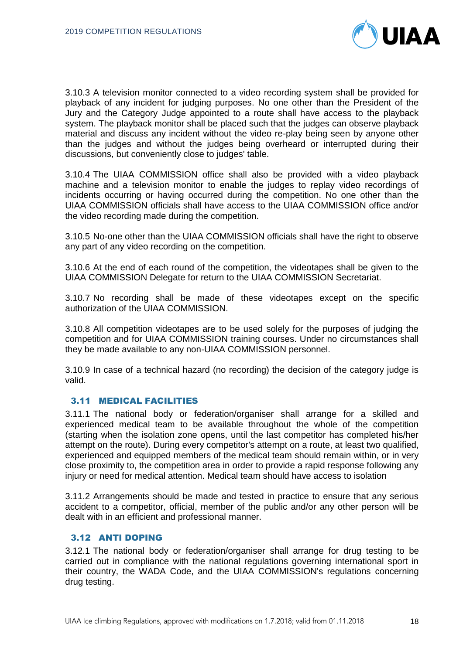

3.10.3 A television monitor connected to a video recording system shall be provided for playback of any incident for judging purposes. No one other than the President of the Jury and the Category Judge appointed to a route shall have access to the playback system. The playback monitor shall be placed such that the judges can observe playback material and discuss any incident without the video re-play being seen by anyone other than the judges and without the judges being overheard or interrupted during their discussions, but conveniently close to judges' table.

3.10.4 The UIAA COMMISSION office shall also be provided with a video playback machine and a television monitor to enable the judges to replay video recordings of incidents occurring or having occurred during the competition. No one other than the UIAA COMMISSION officials shall have access to the UIAA COMMISSION office and/or the video recording made during the competition.

3.10.5 No-one other than the UIAA COMMISSION officials shall have the right to observe any part of any video recording on the competition.

3.10.6 At the end of each round of the competition, the videotapes shall be given to the UIAA COMMISSION Delegate for return to the UIAA COMMISSION Secretariat.

3.10.7 No recording shall be made of these videotapes except on the specific authorization of the UIAA COMMISSION.

3.10.8 All competition videotapes are to be used solely for the purposes of judging the competition and for UIAA COMMISSION training courses. Under no circumstances shall they be made available to any non-UIAA COMMISSION personnel.

3.10.9 In case of a technical hazard (no recording) the decision of the category judge is valid.

## 3.11 MEDICAL FACILITIES

3.11.1 The national body or federation/organiser shall arrange for a skilled and experienced medical team to be available throughout the whole of the competition (starting when the isolation zone opens, until the last competitor has completed his/her attempt on the route). During every competitor's attempt on a route, at least two qualified, experienced and equipped members of the medical team should remain within, or in very close proximity to, the competition area in order to provide a rapid response following any injury or need for medical attention. Medical team should have access to isolation

3.11.2 Arrangements should be made and tested in practice to ensure that any serious accident to a competitor, official, member of the public and/or any other person will be dealt with in an efficient and professional manner.

#### 3.12 ANTI DOPING

3.12.1 The national body or federation/organiser shall arrange for drug testing to be carried out in compliance with the national regulations governing international sport in their country, the WADA Code, and the UIAA COMMISSION's regulations concerning drug testing.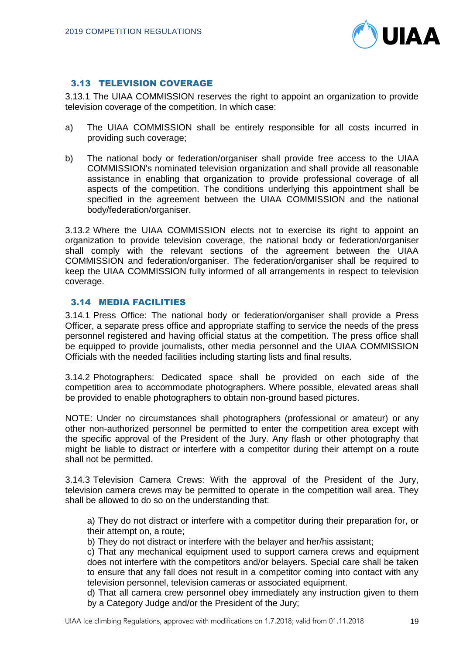

# 3.13 TELEVISION COVERAGE

3.13.1 The UIAA COMMISSION reserves the right to appoint an organization to provide television coverage of the competition. In which case:

- a) The UIAA COMMISSION shall be entirely responsible for all costs incurred in providing such coverage;
- b) The national body or federation/organiser shall provide free access to the UIAA COMMISSION's nominated television organization and shall provide all reasonable assistance in enabling that organization to provide professional coverage of all aspects of the competition. The conditions underlying this appointment shall be specified in the agreement between the UIAA COMMISSION and the national body/federation/organiser.

3.13.2 Where the UIAA COMMISSION elects not to exercise its right to appoint an organization to provide television coverage, the national body or federation/organiser shall comply with the relevant sections of the agreement between the UIAA COMMISSION and federation/organiser. The federation/organiser shall be required to keep the UIAA COMMISSION fully informed of all arrangements in respect to television coverage.

# 3.14 MEDIA FACILITIES

3.14.1 Press Office: The national body or federation/organiser shall provide a Press Officer, a separate press office and appropriate staffing to service the needs of the press personnel registered and having official status at the competition. The press office shall be equipped to provide journalists, other media personnel and the UIAA COMMISSION Officials with the needed facilities including starting lists and final results.

3.14.2 Photographers: Dedicated space shall be provided on each side of the competition area to accommodate photographers. Where possible, elevated areas shall be provided to enable photographers to obtain non-ground based pictures.

NOTE: Under no circumstances shall photographers (professional or amateur) or any other non-authorized personnel be permitted to enter the competition area except with the specific approval of the President of the Jury. Any flash or other photography that might be liable to distract or interfere with a competitor during their attempt on a route shall not be permitted.

3.14.3 Television Camera Crews: With the approval of the President of the Jury, television camera crews may be permitted to operate in the competition wall area. They shall be allowed to do so on the understanding that:

a) They do not distract or interfere with a competitor during their preparation for, or their attempt on, a route;

b) They do not distract or interfere with the belayer and her/his assistant;

c) That any mechanical equipment used to support camera crews and equipment does not interfere with the competitors and/or belayers. Special care shall be taken to ensure that any fall does not result in a competitor coming into contact with any television personnel, television cameras or associated equipment.

d) That all camera crew personnel obey immediately any instruction given to them by a Category Judge and/or the President of the Jury;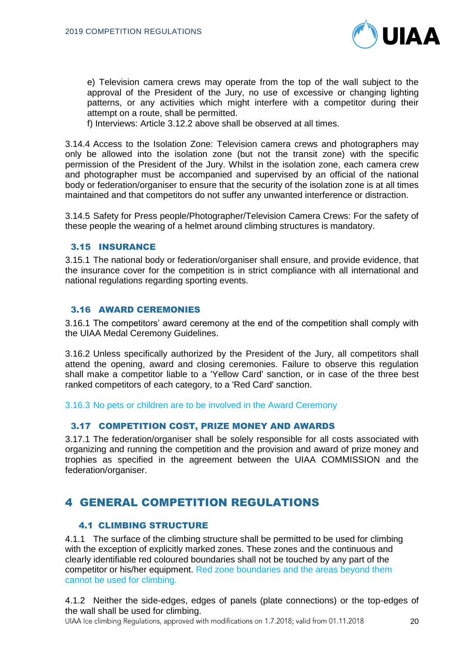

e) Television camera crews may operate from the top of the wall subject to the approval of the President of the Jury, no use of excessive or changing lighting patterns, or any activities which might interfere with a competitor during their attempt on a route, shall be permitted.

f) Interviews: Article 3.12.2 above shall be observed at all times.

3.14.4 Access to the Isolation Zone: Television camera crews and photographers may only be allowed into the isolation zone (but not the transit zone) with the specific permission of the President of the Jury. Whilst in the isolation zone, each camera crew and photographer must be accompanied and supervised by an official of the national body or federation/organiser to ensure that the security of the isolation zone is at all times maintained and that competitors do not suffer any unwanted interference or distraction.

3.14.5 Safety for Press people/Photographer/Television Camera Crews: For the safety of these people the wearing of a helmet around climbing structures is mandatory.

#### 3.15 INSURANCE

3.15.1 The national body or federation/organiser shall ensure, and provide evidence, that the insurance cover for the competition is in strict compliance with all international and national regulations regarding sporting events.

#### 3.16 AWARD CEREMONIES

3.16.1 The competitors' award ceremony at the end of the competition shall comply with the UIAA Medal Ceremony Guidelines.

3.16.2 Unless specifically authorized by the President of the Jury, all competitors shall attend the opening, award and closing ceremonies. Failure to observe this regulation shall make a competitor liable to a 'Yellow Card' sanction, or in case of the three best ranked competitors of each category, to a 'Red Card' sanction.

3.16.3 No pets or children are to be involved in the Award Ceremony

## 3.17 COMPETITION COST, PRIZE MONEY AND AWARDS

3.17.1 The federation/organiser shall be solely responsible for all costs associated with organizing and running the competition and the provision and award of prize money and trophies as specified in the agreement between the UIAA COMMISSION and the federation/organiser.

# 4 GENERAL COMPETITION REGULATIONS

# 4.1 CLIMBING STRUCTURE

4.1.1 The surface of the climbing structure shall be permitted to be used for climbing with the exception of explicitly marked zones. These zones and the continuous and clearly identifiable red coloured boundaries shall not be touched by any part of the competitor or his/her equipment. Red zone boundaries and the areas beyond them cannot be used for climbing.

4.1.2 Neither the side-edges, edges of panels (plate connections) or the top-edges of the wall shall be used for climbing.

UIAA Ice climbing Regulations, approved with modifications on 1.7.2018; valid from 01.11.2018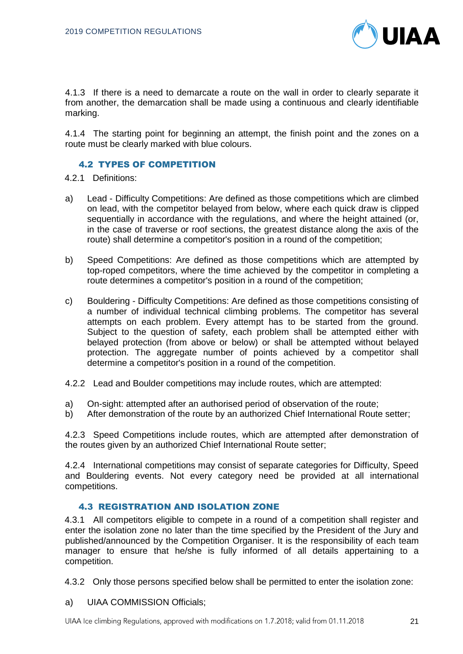

4.1.3 If there is a need to demarcate a route on the wall in order to clearly separate it from another, the demarcation shall be made using a continuous and clearly identifiable marking.

4.1.4 The starting point for beginning an attempt, the finish point and the zones on a route must be clearly marked with blue colours.

## 4.2 TYPES OF COMPETITION

- 4.2.1 Definitions:
- a) Lead Difficulty Competitions: Are defined as those competitions which are climbed on lead, with the competitor belayed from below, where each quick draw is clipped sequentially in accordance with the regulations, and where the height attained (or, in the case of traverse or roof sections, the greatest distance along the axis of the route) shall determine a competitor's position in a round of the competition;
- b) Speed Competitions: Are defined as those competitions which are attempted by top-roped competitors, where the time achieved by the competitor in completing a route determines a competitor's position in a round of the competition;
- c) Bouldering Difficulty Competitions: Are defined as those competitions consisting of a number of individual technical climbing problems. The competitor has several attempts on each problem. Every attempt has to be started from the ground. Subject to the question of safety, each problem shall be attempted either with belayed protection (from above or below) or shall be attempted without belayed protection. The aggregate number of points achieved by a competitor shall determine a competitor's position in a round of the competition.
- 4.2.2 Lead and Boulder competitions may include routes, which are attempted:
- a) On-sight: attempted after an authorised period of observation of the route;
- b) After demonstration of the route by an authorized Chief International Route setter;

4.2.3 Speed Competitions include routes, which are attempted after demonstration of the routes given by an authorized Chief International Route setter;

4.2.4 International competitions may consist of separate categories for Difficulty, Speed and Bouldering events. Not every category need be provided at all international competitions.

# 4.3 REGISTRATION AND ISOLATION ZONE

4.3.1 All competitors eligible to compete in a round of a competition shall register and enter the isolation zone no later than the time specified by the President of the Jury and published/announced by the Competition Organiser. It is the responsibility of each team manager to ensure that he/she is fully informed of all details appertaining to a competition.

- 4.3.2 Only those persons specified below shall be permitted to enter the isolation zone:
- a) UIAA COMMISSION Officials;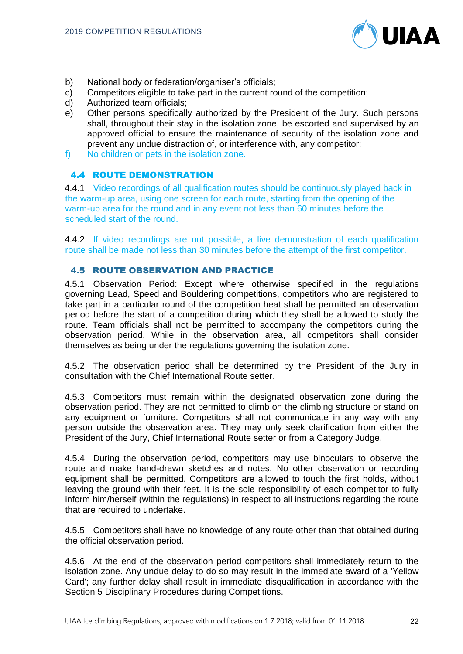

- b) National body or federation/organiser's officials;
- c) Competitors eligible to take part in the current round of the competition;
- d) Authorized team officials;
- e) Other persons specifically authorized by the President of the Jury. Such persons shall, throughout their stay in the isolation zone, be escorted and supervised by an approved official to ensure the maintenance of security of the isolation zone and prevent any undue distraction of, or interference with, any competitor;
- f) No children or pets in the isolation zone.

# 4.4 ROUTE DEMONSTRATION

4.4.1 Video recordings of all qualification routes should be continuously played back in the warm-up area, using one screen for each route, starting from the opening of the warm-up area for the round and in any event not less than 60 minutes before the scheduled start of the round.

4.4.2 If video recordings are not possible, a live demonstration of each qualification route shall be made not less than 30 minutes before the attempt of the first competitor.

#### 4.5 ROUTE OBSERVATION AND PRACTICE

4.5.1 Observation Period: Except where otherwise specified in the regulations governing Lead, Speed and Bouldering competitions, competitors who are registered to take part in a particular round of the competition heat shall be permitted an observation period before the start of a competition during which they shall be allowed to study the route. Team officials shall not be permitted to accompany the competitors during the observation period. While in the observation area, all competitors shall consider themselves as being under the regulations governing the isolation zone.

4.5.2 The observation period shall be determined by the President of the Jury in consultation with the Chief International Route setter.

4.5.3 Competitors must remain within the designated observation zone during the observation period. They are not permitted to climb on the climbing structure or stand on any equipment or furniture. Competitors shall not communicate in any way with any person outside the observation area. They may only seek clarification from either the President of the Jury, Chief International Route setter or from a Category Judge.

4.5.4 During the observation period, competitors may use binoculars to observe the route and make hand-drawn sketches and notes. No other observation or recording equipment shall be permitted. Competitors are allowed to touch the first holds, without leaving the ground with their feet. It is the sole responsibility of each competitor to fully inform him/herself (within the regulations) in respect to all instructions regarding the route that are required to undertake.

4.5.5 Competitors shall have no knowledge of any route other than that obtained during the official observation period.

4.5.6 At the end of the observation period competitors shall immediately return to the isolation zone. Any undue delay to do so may result in the immediate award of a 'Yellow Card'; any further delay shall result in immediate disqualification in accordance with the Section 5 Disciplinary Procedures during Competitions.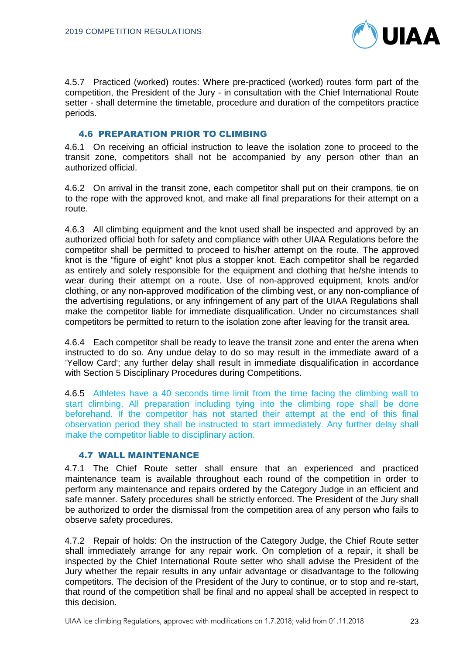

4.5.7 Practiced (worked) routes: Where pre-practiced (worked) routes form part of the competition, the President of the Jury - in consultation with the Chief International Route setter - shall determine the timetable, procedure and duration of the competitors practice periods.

# 4.6 PREPARATION PRIOR TO CLIMBING

4.6.1 On receiving an official instruction to leave the isolation zone to proceed to the transit zone, competitors shall not be accompanied by any person other than an authorized official.

4.6.2 On arrival in the transit zone, each competitor shall put on their crampons, tie on to the rope with the approved knot, and make all final preparations for their attempt on a route.

4.6.3 All climbing equipment and the knot used shall be inspected and approved by an authorized official both for safety and compliance with other UIAA Regulations before the competitor shall be permitted to proceed to his/her attempt on the route. The approved knot is the "figure of eight" knot plus a stopper knot. Each competitor shall be regarded as entirely and solely responsible for the equipment and clothing that he/she intends to wear during their attempt on a route. Use of non-approved equipment, knots and/or clothing, or any non-approved modification of the climbing vest, or any non-compliance of the advertising regulations, or any infringement of any part of the UIAA Regulations shall make the competitor liable for immediate disqualification. Under no circumstances shall competitors be permitted to return to the isolation zone after leaving for the transit area.

4.6.4 Each competitor shall be ready to leave the transit zone and enter the arena when instructed to do so. Any undue delay to do so may result in the immediate award of a 'Yellow Card'; any further delay shall result in immediate disqualification in accordance with Section 5 Disciplinary Procedures during Competitions.

4.6.5 Athletes have a 40 seconds time limit from the time facing the climbing wall to start climbing. All preparation including tying into the climbing rope shall be done beforehand. If the competitor has not started their attempt at the end of this final observation period they shall be instructed to start immediately. Any further delay shall make the competitor liable to disciplinary action.

# 4.7 WALL MAINTENANCE

4.7.1 The Chief Route setter shall ensure that an experienced and practiced maintenance team is available throughout each round of the competition in order to perform any maintenance and repairs ordered by the Category Judge in an efficient and safe manner. Safety procedures shall be strictly enforced. The President of the Jury shall be authorized to order the dismissal from the competition area of any person who fails to observe safety procedures.

4.7.2 Repair of holds: On the instruction of the Category Judge, the Chief Route setter shall immediately arrange for any repair work. On completion of a repair, it shall be inspected by the Chief International Route setter who shall advise the President of the Jury whether the repair results in any unfair advantage or disadvantage to the following competitors. The decision of the President of the Jury to continue, or to stop and re-start, that round of the competition shall be final and no appeal shall be accepted in respect to this decision.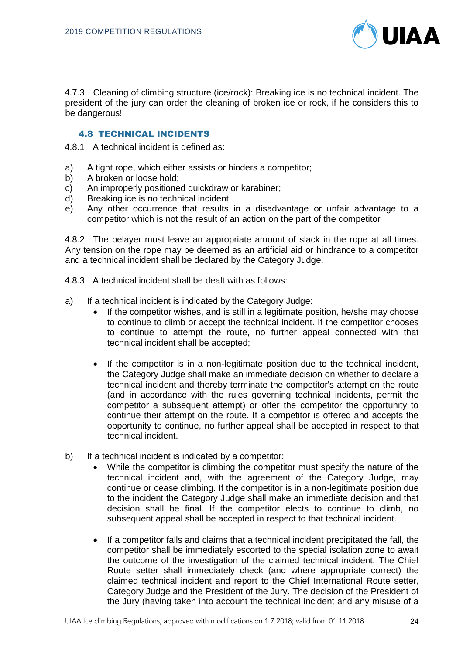

4.7.3 Cleaning of climbing structure (ice/rock): Breaking ice is no technical incident. The president of the jury can order the cleaning of broken ice or rock, if he considers this to be dangerous!

# 4.8 TECHNICAL INCIDENTS

4.8.1 A technical incident is defined as:

- a) A tight rope, which either assists or hinders a competitor;
- b) A broken or loose hold;
- c) An improperly positioned quickdraw or karabiner;
- d) Breaking ice is no technical incident
- e) Any other occurrence that results in a disadvantage or unfair advantage to a competitor which is not the result of an action on the part of the competitor

4.8.2 The belayer must leave an appropriate amount of slack in the rope at all times. Any tension on the rope may be deemed as an artificial aid or hindrance to a competitor and a technical incident shall be declared by the Category Judge.

- 4.8.3 A technical incident shall be dealt with as follows:
- a) If a technical incident is indicated by the Category Judge:
	- If the competitor wishes, and is still in a legitimate position, he/she may choose to continue to climb or accept the technical incident. If the competitor chooses to continue to attempt the route, no further appeal connected with that technical incident shall be accepted;
	- If the competitor is in a non-legitimate position due to the technical incident, the Category Judge shall make an immediate decision on whether to declare a technical incident and thereby terminate the competitor's attempt on the route (and in accordance with the rules governing technical incidents, permit the competitor a subsequent attempt) or offer the competitor the opportunity to continue their attempt on the route. If a competitor is offered and accepts the opportunity to continue, no further appeal shall be accepted in respect to that technical incident.
- b) If a technical incident is indicated by a competitor:
	- While the competitor is climbing the competitor must specify the nature of the technical incident and, with the agreement of the Category Judge, may continue or cease climbing. If the competitor is in a non-legitimate position due to the incident the Category Judge shall make an immediate decision and that decision shall be final. If the competitor elects to continue to climb, no subsequent appeal shall be accepted in respect to that technical incident.
	- If a competitor falls and claims that a technical incident precipitated the fall, the competitor shall be immediately escorted to the special isolation zone to await the outcome of the investigation of the claimed technical incident. The Chief Route setter shall immediately check (and where appropriate correct) the claimed technical incident and report to the Chief International Route setter, Category Judge and the President of the Jury. The decision of the President of the Jury (having taken into account the technical incident and any misuse of a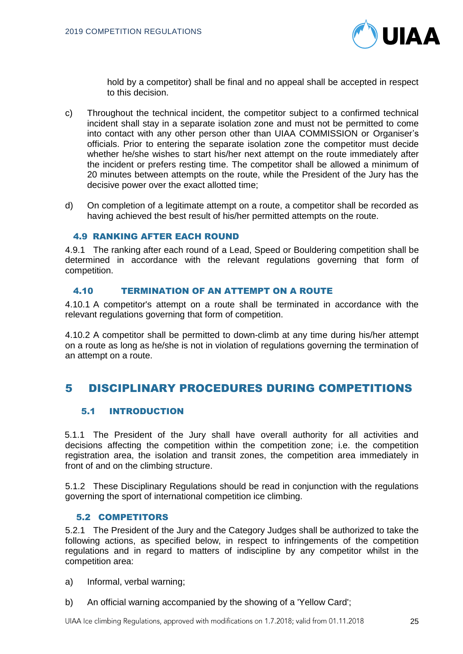

hold by a competitor) shall be final and no appeal shall be accepted in respect to this decision.

- c) Throughout the technical incident, the competitor subject to a confirmed technical incident shall stay in a separate isolation zone and must not be permitted to come into contact with any other person other than UIAA COMMISSION or Organiser's officials. Prior to entering the separate isolation zone the competitor must decide whether he/she wishes to start his/her next attempt on the route immediately after the incident or prefers resting time. The competitor shall be allowed a minimum of 20 minutes between attempts on the route, while the President of the Jury has the decisive power over the exact allotted time;
- d) On completion of a legitimate attempt on a route, a competitor shall be recorded as having achieved the best result of his/her permitted attempts on the route.

#### 4.9 RANKING AFTER EACH ROUND

4.9.1 The ranking after each round of a Lead, Speed or Bouldering competition shall be determined in accordance with the relevant regulations governing that form of competition.

# 4.10 TERMINATION OF AN ATTEMPT ON A ROUTE

4.10.1 A competitor's attempt on a route shall be terminated in accordance with the relevant regulations governing that form of competition.

4.10.2 A competitor shall be permitted to down-climb at any time during his/her attempt on a route as long as he/she is not in violation of regulations governing the termination of an attempt on a route.

# 5 DISCIPLINARY PROCEDURES DURING COMPETITIONS

## 5.1 INTRODUCTION

5.1.1 The President of the Jury shall have overall authority for all activities and decisions affecting the competition within the competition zone; i.e. the competition registration area, the isolation and transit zones, the competition area immediately in front of and on the climbing structure.

5.1.2 These Disciplinary Regulations should be read in conjunction with the regulations governing the sport of international competition ice climbing.

#### 5.2 COMPETITORS

5.2.1 The President of the Jury and the Category Judges shall be authorized to take the following actions, as specified below, in respect to infringements of the competition regulations and in regard to matters of indiscipline by any competitor whilst in the competition area:

- a) Informal, verbal warning;
- b) An official warning accompanied by the showing of a 'Yellow Card';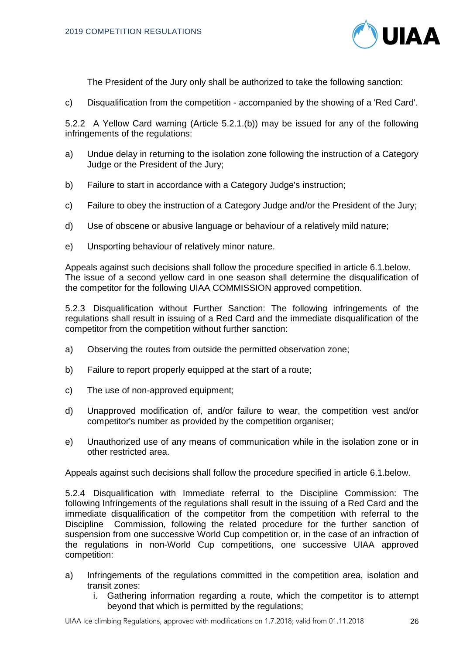

The President of the Jury only shall be authorized to take the following sanction:

c) Disqualification from the competition - accompanied by the showing of a 'Red Card'.

5.2.2 A Yellow Card warning (Article 5.2.1.(b)) may be issued for any of the following infringements of the regulations:

- a) Undue delay in returning to the isolation zone following the instruction of a Category Judge or the President of the Jury;
- b) Failure to start in accordance with a Category Judge's instruction;
- c) Failure to obey the instruction of a Category Judge and/or the President of the Jury;
- d) Use of obscene or abusive language or behaviour of a relatively mild nature;
- e) Unsporting behaviour of relatively minor nature.

Appeals against such decisions shall follow the procedure specified in article 6.1.below. The issue of a second yellow card in one season shall determine the disqualification of the competitor for the following UIAA COMMISSION approved competition.

5.2.3 Disqualification without Further Sanction: The following infringements of the regulations shall result in issuing of a Red Card and the immediate disqualification of the competitor from the competition without further sanction:

- a) Observing the routes from outside the permitted observation zone;
- b) Failure to report properly equipped at the start of a route;
- c) The use of non-approved equipment;
- d) Unapproved modification of, and/or failure to wear, the competition vest and/or competitor's number as provided by the competition organiser;
- e) Unauthorized use of any means of communication while in the isolation zone or in other restricted area.

Appeals against such decisions shall follow the procedure specified in article 6.1.below.

5.2.4 Disqualification with Immediate referral to the Discipline Commission: The following Infringements of the regulations shall result in the issuing of a Red Card and the immediate disqualification of the competitor from the competition with referral to the Discipline Commission, following the related procedure for the further sanction of suspension from one successive World Cup competition or, in the case of an infraction of the regulations in non-World Cup competitions, one successive UIAA approved competition:

- a) Infringements of the regulations committed in the competition area, isolation and transit zones:
	- i. Gathering information regarding a route, which the competitor is to attempt beyond that which is permitted by the regulations;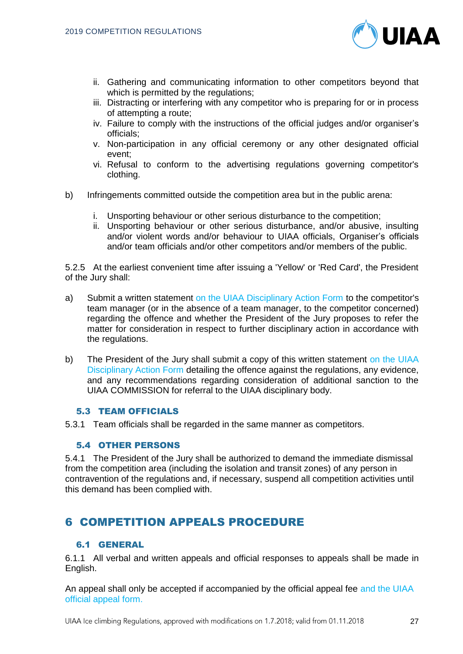

- ii. Gathering and communicating information to other competitors beyond that which is permitted by the regulations;
- iii. Distracting or interfering with any competitor who is preparing for or in process of attempting a route;
- iv. Failure to comply with the instructions of the official judges and/or organiser's officials;
- v. Non-participation in any official ceremony or any other designated official event;
- vi. Refusal to conform to the advertising regulations governing competitor's clothing.
- b) Infringements committed outside the competition area but in the public arena:
	- i. Unsporting behaviour or other serious disturbance to the competition;
	- ii. Unsporting behaviour or other serious disturbance, and/or abusive, insulting and/or violent words and/or behaviour to UIAA officials, Organiser's officials and/or team officials and/or other competitors and/or members of the public.

5.2.5 At the earliest convenient time after issuing a 'Yellow' or 'Red Card', the President of the Jury shall:

- a) Submit a written statement on the UIAA Disciplinary Action Form to the competitor's team manager (or in the absence of a team manager, to the competitor concerned) regarding the offence and whether the President of the Jury proposes to refer the matter for consideration in respect to further disciplinary action in accordance with the regulations.
- b) The President of the Jury shall submit a copy of this written statement on the UIAA Disciplinary Action Form detailing the offence against the regulations, any evidence, and any recommendations regarding consideration of additional sanction to the UIAA COMMISSION for referral to the UIAA disciplinary body.

# 5.3 TEAM OFFICIALS

5.3.1 Team officials shall be regarded in the same manner as competitors.

#### 5.4 OTHER PERSONS

5.4.1 The President of the Jury shall be authorized to demand the immediate dismissal from the competition area (including the isolation and transit zones) of any person in contravention of the regulations and, if necessary, suspend all competition activities until this demand has been complied with.

# 6 COMPETITION APPEALS PROCEDURE

## 6.1 GENERAL

6.1.1 All verbal and written appeals and official responses to appeals shall be made in English.

An appeal shall only be accepted if accompanied by the official appeal fee and the UIAA official appeal form.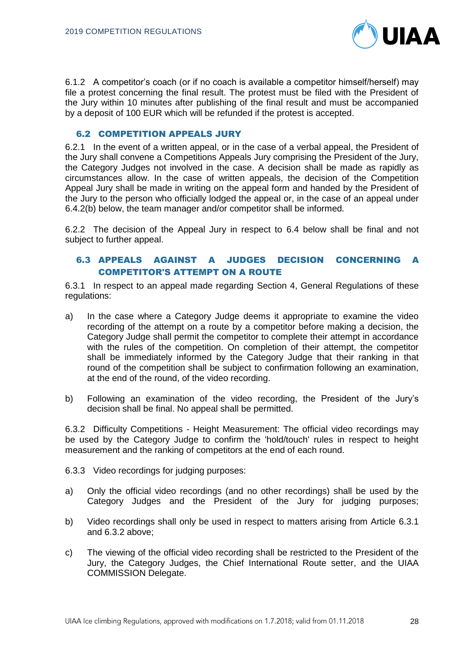

6.1.2 A competitor's coach (or if no coach is available a competitor himself/herself) may file a protest concerning the final result. The protest must be filed with the President of the Jury within 10 minutes after publishing of the final result and must be accompanied by a deposit of 100 EUR which will be refunded if the protest is accepted.

## 6.2 COMPETITION APPEALS JURY

6.2.1 In the event of a written appeal, or in the case of a verbal appeal, the President of the Jury shall convene a Competitions Appeals Jury comprising the President of the Jury, the Category Judges not involved in the case. A decision shall be made as rapidly as circumstances allow. In the case of written appeals, the decision of the Competition Appeal Jury shall be made in writing on the appeal form and handed by the President of the Jury to the person who officially lodged the appeal or, in the case of an appeal under 6.4.2(b) below, the team manager and/or competitor shall be informed.

6.2.2 The decision of the Appeal Jury in respect to 6.4 below shall be final and not subject to further appeal.

# 6.3 APPEALS AGAINST A JUDGES DECISION CONCERNING A COMPETITOR'S ATTEMPT ON A ROUTE

6.3.1 In respect to an appeal made regarding Section 4, General Regulations of these regulations:

- a) In the case where a Category Judge deems it appropriate to examine the video recording of the attempt on a route by a competitor before making a decision, the Category Judge shall permit the competitor to complete their attempt in accordance with the rules of the competition. On completion of their attempt, the competitor shall be immediately informed by the Category Judge that their ranking in that round of the competition shall be subject to confirmation following an examination, at the end of the round, of the video recording.
- b) Following an examination of the video recording, the President of the Jury's decision shall be final. No appeal shall be permitted.

6.3.2 Difficulty Competitions - Height Measurement: The official video recordings may be used by the Category Judge to confirm the 'hold/touch' rules in respect to height measurement and the ranking of competitors at the end of each round.

6.3.3 Video recordings for judging purposes:

- a) Only the official video recordings (and no other recordings) shall be used by the Category Judges and the President of the Jury for judging purposes;
- b) Video recordings shall only be used in respect to matters arising from Article 6.3.1 and 6.3.2 above;
- c) The viewing of the official video recording shall be restricted to the President of the Jury, the Category Judges, the Chief International Route setter, and the UIAA COMMISSION Delegate.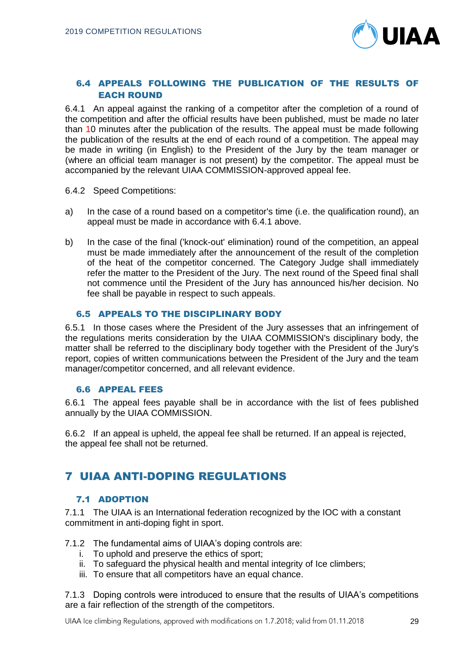

# 6.4 APPEALS FOLLOWING THE PUBLICATION OF THE RESULTS OF EACH ROUND

6.4.1 An appeal against the ranking of a competitor after the completion of a round of the competition and after the official results have been published, must be made no later than 10 minutes after the publication of the results. The appeal must be made following the publication of the results at the end of each round of a competition. The appeal may be made in writing (in English) to the President of the Jury by the team manager or (where an official team manager is not present) by the competitor. The appeal must be accompanied by the relevant UIAA COMMISSION-approved appeal fee.

6.4.2 Speed Competitions:

- a) In the case of a round based on a competitor's time (i.e. the qualification round), an appeal must be made in accordance with 6.4.1 above.
- b) In the case of the final ('knock-out' elimination) round of the competition, an appeal must be made immediately after the announcement of the result of the completion of the heat of the competitor concerned. The Category Judge shall immediately refer the matter to the President of the Jury. The next round of the Speed final shall not commence until the President of the Jury has announced his/her decision. No fee shall be payable in respect to such appeals.

# 6.5 APPEALS TO THE DISCIPLINARY BODY

6.5.1 In those cases where the President of the Jury assesses that an infringement of the regulations merits consideration by the UIAA COMMISSION's disciplinary body, the matter shall be referred to the disciplinary body together with the President of the Jury's report, copies of written communications between the President of the Jury and the team manager/competitor concerned, and all relevant evidence.

# 6.6 APPEAL FEES

6.6.1 The appeal fees payable shall be in accordance with the list of fees published annually by the UIAA COMMISSION.

6.6.2 If an appeal is upheld, the appeal fee shall be returned. If an appeal is rejected, the appeal fee shall not be returned.

# 7 UIAA ANTI-DOPING REGULATIONS

## 7.1 ADOPTION

7.1.1 The UIAA is an International federation recognized by the IOC with a constant commitment in anti-doping fight in sport.

- 7.1.2 The fundamental aims of UIAA's doping controls are:
	- i. To uphold and preserve the ethics of sport;
	- ii. To safeguard the physical health and mental integrity of Ice climbers;
	- iii. To ensure that all competitors have an equal chance.

7.1.3 Doping controls were introduced to ensure that the results of UIAA's competitions are a fair reflection of the strength of the competitors.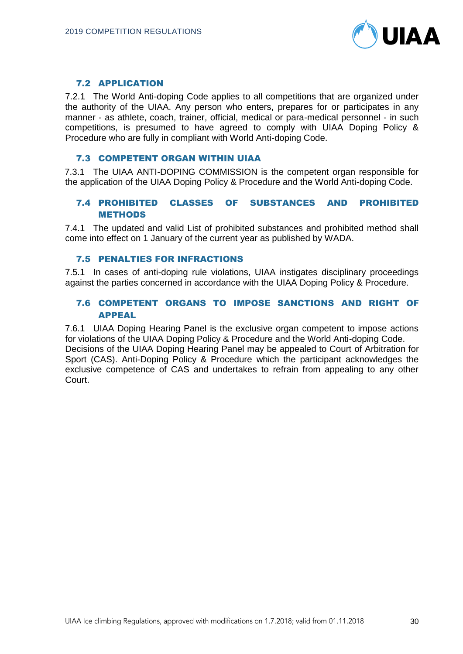

# 7.2 APPLICATION

7.2.1 The World Anti-doping Code applies to all competitions that are organized under the authority of the UIAA. Any person who enters, prepares for or participates in any manner - as athlete, coach, trainer, official, medical or para-medical personnel - in such competitions, is presumed to have agreed to comply with UIAA Doping Policy & Procedure who are fully in compliant with World Anti-doping Code.

#### 7.3 COMPETENT ORGAN WITHIN UIAA

7.3.1 The UIAA ANTI-DOPING COMMISSION is the competent organ responsible for the application of the UIAA Doping Policy & Procedure and the World Anti-doping Code.

# 7.4 PROHIBITED CLASSES OF SUBSTANCES AND PROHIBITED METHODS

7.4.1 The updated and valid List of prohibited substances and prohibited method shall come into effect on 1 January of the current year as published by WADA.

## 7.5 PENALTIES FOR INFRACTIONS

7.5.1 In cases of anti-doping rule violations, UIAA instigates disciplinary proceedings against the parties concerned in accordance with the UIAA Doping Policy & Procedure.

# 7.6 COMPETENT ORGANS TO IMPOSE SANCTIONS AND RIGHT OF APPEAL

7.6.1 UIAA Doping Hearing Panel is the exclusive organ competent to impose actions for violations of the UIAA Doping Policy & Procedure and the World Anti-doping Code. Decisions of the UIAA Doping Hearing Panel may be appealed to Court of Arbitration for Sport (CAS). Anti-Doping Policy & Procedure which the participant acknowledges the exclusive competence of CAS and undertakes to refrain from appealing to any other Court.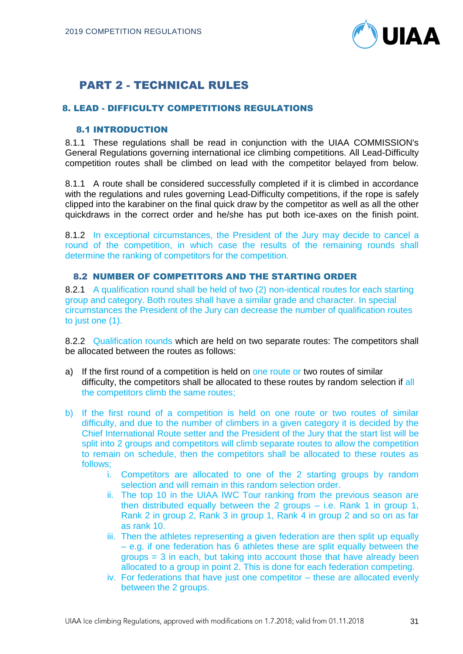

# PART 2 - TECHNICAL RULES

# 8. LEAD - DIFFICULTY COMPETITIONS REGULATIONS

# 8.1 INTRODUCTION

8.1.1 These regulations shall be read in conjunction with the UIAA COMMISSION's General Regulations governing international ice climbing competitions. All Lead-Difficulty competition routes shall be climbed on lead with the competitor belayed from below.

8.1.1 A route shall be considered successfully completed if it is climbed in accordance with the regulations and rules governing Lead-Difficulty competitions, if the rope is safely clipped into the karabiner on the final quick draw by the competitor as well as all the other quickdraws in the correct order and he/she has put both ice-axes on the finish point.

8.1.2 In exceptional circumstances, the President of the Jury may decide to cancel a round of the competition, in which case the results of the remaining rounds shall determine the ranking of competitors for the competition.

# 8.2 NUMBER OF COMPETITORS AND THE STARTING ORDER

8.2.1 A qualification round shall be held of two (2) non-identical routes for each starting group and category. Both routes shall have a similar grade and character. In special circumstances the President of the Jury can decrease the number of qualification routes to just one (1).

8.2.2 Qualification rounds which are held on two separate routes: The competitors shall be allocated between the routes as follows:

- a) If the first round of a competition is held on one route or two routes of similar difficulty, the competitors shall be allocated to these routes by random selection if all the competitors climb the same routes;
- b) If the first round of a competition is held on one route or two routes of similar difficulty, and due to the number of climbers in a given category it is decided by the Chief International Route setter and the President of the Jury that the start list will be split into 2 groups and competitors will climb separate routes to allow the competition to remain on schedule, then the competitors shall be allocated to these routes as follows;
	- i. Competitors are allocated to one of the 2 starting groups by random selection and will remain in this random selection order.
	- ii. The top 10 in the UIAA IWC Tour ranking from the previous season are then distributed equally between the 2 groups – i.e. Rank 1 in group 1, Rank 2 in group 2, Rank 3 in group 1, Rank 4 in group 2 and so on as far as rank 10.
	- iii. Then the athletes representing a given federation are then split up equally – e.g. if one federation has 6 athletes these are split equally between the groups = 3 in each, but taking into account those that have already been allocated to a group in point 2. This is done for each federation competing.
	- iv. For federations that have just one competitor these are allocated evenly between the 2 groups.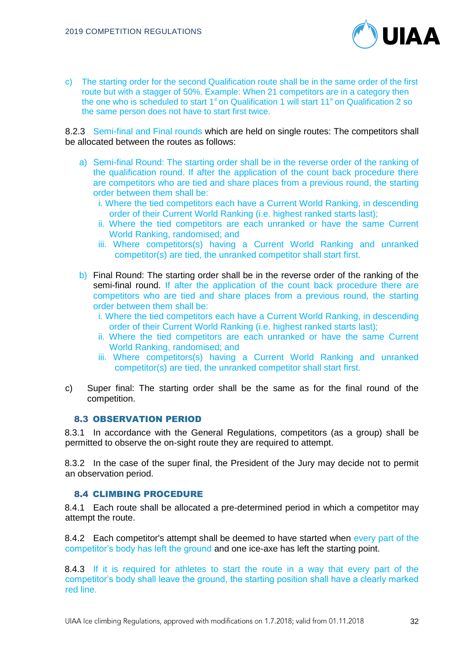

c) The starting order for the second Qualification route shall be in the same order of the first route but with a stagger of 50%. Example: When 21 competitors are in a category then the one who is scheduled to start 1<sup>st</sup> on Qualification 1 will start 11<sup>th</sup> on Qualification 2 so the same person does not have to start first twice.

8.2.3 Semi-final and Final rounds which are held on single routes: The competitors shall be allocated between the routes as follows:

- a) Semi-final Round: The starting order shall be in the reverse order of the ranking of the qualification round. If after the application of the count back procedure there are competitors who are tied and share places from a previous round, the starting order between them shall be:
	- i. Where the tied competitors each have a Current World Ranking, in descending order of their Current World Ranking (i.e. highest ranked starts last);
	- ii. Where the tied competitors are each unranked or have the same Current World Ranking, randomised; and
	- iii. Where competitors(s) having a Current World Ranking and unranked competitor(s) are tied, the unranked competitor shall start first.
- b) Final Round: The starting order shall be in the reverse order of the ranking of the semi-final round. If after the application of the count back procedure there are competitors who are tied and share places from a previous round, the starting order between them shall be:
	- i. Where the tied competitors each have a Current World Ranking, in descending order of their Current World Ranking (i.e. highest ranked starts last);
	- ii. Where the tied competitors are each unranked or have the same Current World Ranking, randomised; and
	- iii. Where competitors(s) having a Current World Ranking and unranked competitor(s) are tied, the unranked competitor shall start first.
- c) Super final: The starting order shall be the same as for the final round of the competition.

## 8.3 OBSERVATION PERIOD

8.3.1 In accordance with the General Regulations, competitors (as a group) shall be permitted to observe the on-sight route they are required to attempt.

8.3.2 In the case of the super final, the President of the Jury may decide not to permit an observation period.

#### 8.4 CLIMBING PROCEDURE

8.4.1 Each route shall be allocated a pre-determined period in which a competitor may attempt the route.

8.4.2 Each competitor's attempt shall be deemed to have started when every part of the competitor's body has left the ground and one ice-axe has left the starting point.

8.4.3 If it is required for athletes to start the route in a way that every part of the competitor's body shall leave the ground, the starting position shall have a clearly marked red line.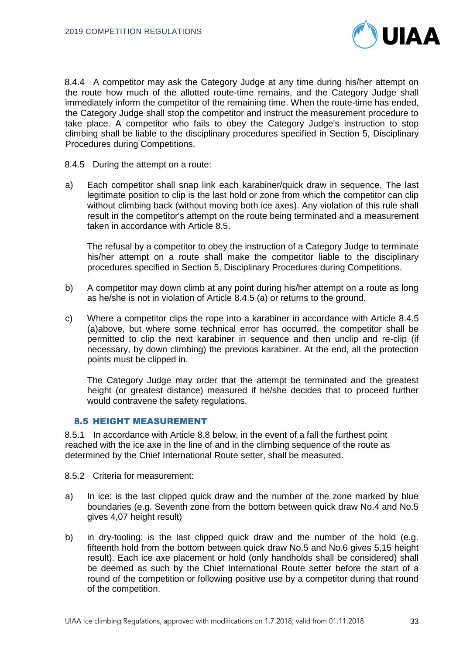

8.4.4 A competitor may ask the Category Judge at any time during his/her attempt on the route how much of the allotted route-time remains, and the Category Judge shall immediately inform the competitor of the remaining time. When the route-time has ended, the Category Judge shall stop the competitor and instruct the measurement procedure to take place. A competitor who fails to obey the Category Judge's instruction to stop climbing shall be liable to the disciplinary procedures specified in Section 5, Disciplinary Procedures during Competitions.

8.4.5 During the attempt on a route:

a) Each competitor shall snap link each karabiner/quick draw in sequence. The last legitimate position to clip is the last hold or zone from which the competitor can clip without climbing back (without moving both ice axes). Any violation of this rule shall result in the competitor's attempt on the route being terminated and a measurement taken in accordance with Article 8.5.

The refusal by a competitor to obey the instruction of a Category Judge to terminate his/her attempt on a route shall make the competitor liable to the disciplinary procedures specified in Section 5, Disciplinary Procedures during Competitions.

- b) A competitor may down climb at any point during his/her attempt on a route as long as he/she is not in violation of Article 8.4.5 (a) or returns to the ground.
- c) Where a competitor clips the rope into a karabiner in accordance with Article 8.4.5 (a)above, but where some technical error has occurred, the competitor shall be permitted to clip the next karabiner in sequence and then unclip and re-clip (if necessary, by down climbing) the previous karabiner. At the end, all the protection points must be clipped in.

The Category Judge may order that the attempt be terminated and the greatest height (or greatest distance) measured if he/she decides that to proceed further would contravene the safety regulations.

## 8.5 HEIGHT MEASUREMENT

8.5.1 In accordance with Article 8.8 below, in the event of a fall the furthest point reached with the ice axe in the line of and in the climbing sequence of the route as determined by the Chief International Route setter, shall be measured.

8.5.2 Criteria for measurement:

- a) In ice: is the last clipped quick draw and the number of the zone marked by blue boundaries (e.g. Seventh zone from the bottom between quick draw No.4 and No.5 gives 4,07 height result)
- b) in dry-tooling: is the last clipped quick draw and the number of the hold (e.g. fifteenth hold from the bottom between quick draw No.5 and No.6 gives 5,15 height result). Each ice axe placement or hold (only handholds shall be considered) shall be deemed as such by the Chief International Route setter before the start of a round of the competition or following positive use by a competitor during that round of the competition.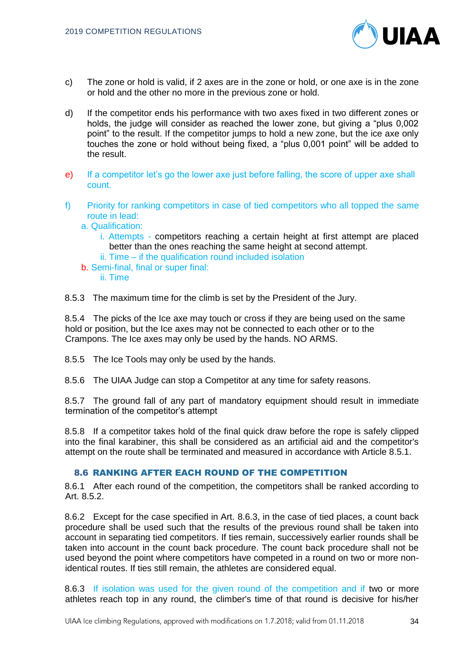

- c) The zone or hold is valid, if 2 axes are in the zone or hold, or one axe is in the zone or hold and the other no more in the previous zone or hold.
- d) If the competitor ends his performance with two axes fixed in two different zones or holds, the judge will consider as reached the lower zone, but giving a "plus 0,002 point" to the result. If the competitor jumps to hold a new zone, but the ice axe only touches the zone or hold without being fixed, a "plus 0,001 point" will be added to the result.
- e) If a competitor let's go the lower axe just before falling, the score of upper axe shall count.
- f) Priority for ranking competitors in case of tied competitors who all topped the same route in lead:
	- a. Qualification:
		- i. Attempts competitors reaching a certain height at first attempt are placed better than the ones reaching the same height at second attempt.
		- ii. Time if the qualification round included isolation
	- b. Semi-final, final or super final:
		- ii. Time

8.5.3 The maximum time for the climb is set by the President of the Jury.

8.5.4 The picks of the Ice axe may touch or cross if they are being used on the same hold or position, but the Ice axes may not be connected to each other or to the Crampons. The Ice axes may only be used by the hands. NO ARMS.

8.5.5 The Ice Tools may only be used by the hands.

8.5.6 The UIAA Judge can stop a Competitor at any time for safety reasons.

8.5.7 The ground fall of any part of mandatory equipment should result in immediate termination of the competitor's attempt

8.5.8 If a competitor takes hold of the final quick draw before the rope is safely clipped into the final karabiner, this shall be considered as an artificial aid and the competitor's attempt on the route shall be terminated and measured in accordance with Article 8.5.1.

# 8.6 RANKING AFTER EACH ROUND OF THE COMPETITION

8.6.1 After each round of the competition, the competitors shall be ranked according to Art. 8.5.2.

8.6.2 Except for the case specified in Art. 8.6.3, in the case of tied places, a count back procedure shall be used such that the results of the previous round shall be taken into account in separating tied competitors. If ties remain, successively earlier rounds shall be taken into account in the count back procedure. The count back procedure shall not be used beyond the point where competitors have competed in a round on two or more nonidentical routes. If ties still remain, the athletes are considered equal.

8.6.3 If isolation was used for the given round of the competition and if two or more athletes reach top in any round, the climber's time of that round is decisive for his/her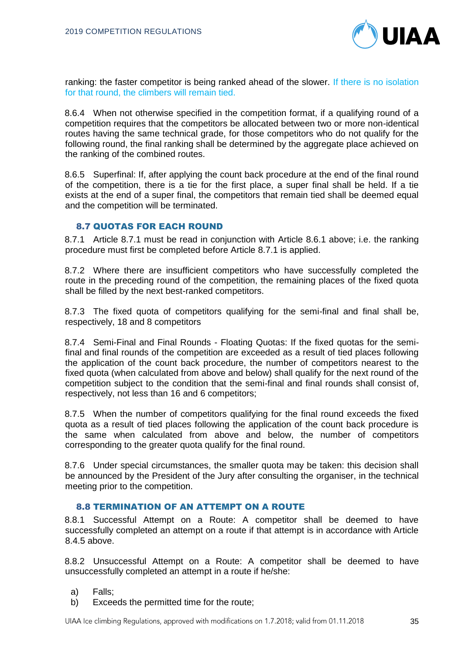

ranking: the faster competitor is being ranked ahead of the slower. If there is no isolation for that round, the climbers will remain tied.

8.6.4 When not otherwise specified in the competition format, if a qualifying round of a competition requires that the competitors be allocated between two or more non-identical routes having the same technical grade, for those competitors who do not qualify for the following round, the final ranking shall be determined by the aggregate place achieved on the ranking of the combined routes.

8.6.5 Superfinal: If, after applying the count back procedure at the end of the final round of the competition, there is a tie for the first place, a super final shall be held. If a tie exists at the end of a super final, the competitors that remain tied shall be deemed equal and the competition will be terminated.

#### 8.7 QUOTAS FOR EACH ROUND

8.7.1 Article 8.7.1 must be read in conjunction with Article 8.6.1 above; i.e. the ranking procedure must first be completed before Article 8.7.1 is applied.

8.7.2 Where there are insufficient competitors who have successfully completed the route in the preceding round of the competition, the remaining places of the fixed quota shall be filled by the next best-ranked competitors.

8.7.3 The fixed quota of competitors qualifying for the semi-final and final shall be, respectively, 18 and 8 competitors

8.7.4 Semi-Final and Final Rounds - Floating Quotas: If the fixed quotas for the semifinal and final rounds of the competition are exceeded as a result of tied places following the application of the count back procedure, the number of competitors nearest to the fixed quota (when calculated from above and below) shall qualify for the next round of the competition subject to the condition that the semi-final and final rounds shall consist of, respectively, not less than 16 and 6 competitors;

8.7.5 When the number of competitors qualifying for the final round exceeds the fixed quota as a result of tied places following the application of the count back procedure is the same when calculated from above and below, the number of competitors corresponding to the greater quota qualify for the final round.

8.7.6 Under special circumstances, the smaller quota may be taken: this decision shall be announced by the President of the Jury after consulting the organiser, in the technical meeting prior to the competition.

#### 8.8 TERMINATION OF AN ATTEMPT ON A ROUTE

8.8.1 Successful Attempt on a Route: A competitor shall be deemed to have successfully completed an attempt on a route if that attempt is in accordance with Article 8.4.5 above.

8.8.2 Unsuccessful Attempt on a Route: A competitor shall be deemed to have unsuccessfully completed an attempt in a route if he/she:

- a) Falls;
- b) Exceeds the permitted time for the route;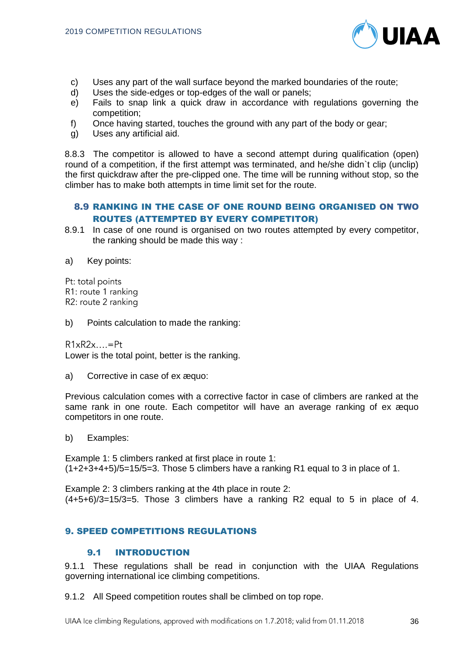

- c) Uses any part of the wall surface beyond the marked boundaries of the route;
- d) Uses the side-edges or top-edges of the wall or panels;
- e) Fails to snap link a quick draw in accordance with regulations governing the competition;
- f) Once having started, touches the ground with any part of the body or gear;
- g) Uses any artificial aid.

8.8.3 The competitor is allowed to have a second attempt during qualification (open) round of a competition, if the first attempt was terminated, and he/she didn`t clip (unclip) the first quickdraw after the pre-clipped one. The time will be running without stop, so the climber has to make both attempts in time limit set for the route.

# 8.9 RANKING IN THE CASE OF ONE ROUND BEING ORGANISED ON TWO ROUTES (ATTEMPTED BY EVERY COMPETITOR)

- 8.9.1 In case of one round is organised on two routes attempted by every competitor, the ranking should be made this way :
- a) Key points:
- Pt: total points

R1: route 1 ranking

R2: route 2 ranking

- b) Points calculation to made the ranking:
- $R1xR2x...=Pt$

Lower is the total point, better is the ranking.

a) Corrective in case of ex æquo:

Previous calculation comes with a corrective factor in case of climbers are ranked at the same rank in one route. Each competitor will have an average ranking of ex æquo competitors in one route.

b) Examples:

Example 1: 5 climbers ranked at first place in route 1:  $(1+2+3+4+5)/5=15/5=3$ . Those 5 climbers have a ranking R1 equal to 3 in place of 1.

Example 2: 3 climbers ranking at the 4th place in route 2:  $(4+5+6)/3=15/3=5$ . Those 3 climbers have a ranking R2 equal to 5 in place of 4.

# 9. SPEED COMPETITIONS REGULATIONS

# 9.1 INTRODUCTION

9.1.1 These regulations shall be read in conjunction with the UIAA Regulations governing international ice climbing competitions.

9.1.2 All Speed competition routes shall be climbed on top rope.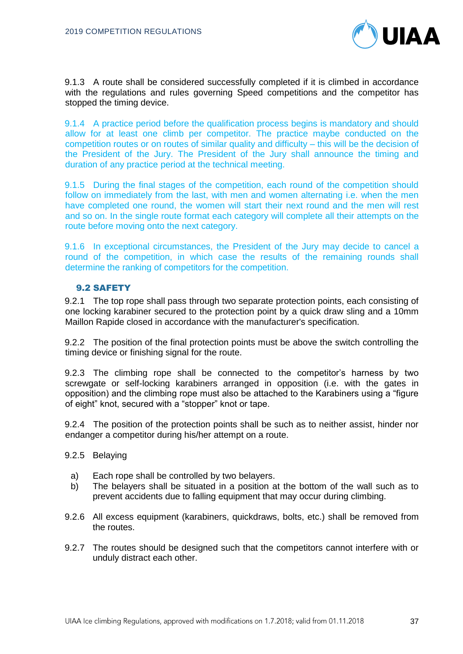

9.1.3 A route shall be considered successfully completed if it is climbed in accordance with the regulations and rules governing Speed competitions and the competitor has stopped the timing device.

9.1.4 A practice period before the qualification process begins is mandatory and should allow for at least one climb per competitor. The practice maybe conducted on the competition routes or on routes of similar quality and difficulty – this will be the decision of the President of the Jury. The President of the Jury shall announce the timing and duration of any practice period at the technical meeting.

9.1.5 During the final stages of the competition, each round of the competition should follow on immediately from the last, with men and women alternating i.e. when the men have completed one round, the women will start their next round and the men will rest and so on. In the single route format each category will complete all their attempts on the route before moving onto the next category.

9.1.6 In exceptional circumstances, the President of the Jury may decide to cancel a round of the competition, in which case the results of the remaining rounds shall determine the ranking of competitors for the competition.

#### 9.2 SAFETY

9.2.1 The top rope shall pass through two separate protection points, each consisting of one locking karabiner secured to the protection point by a quick draw sling and a 10mm Maillon Rapide closed in accordance with the manufacturer's specification.

9.2.2 The position of the final protection points must be above the switch controlling the timing device or finishing signal for the route.

9.2.3 The climbing rope shall be connected to the competitor's harness by two screwgate or self-locking karabiners arranged in opposition (i.e. with the gates in opposition) and the climbing rope must also be attached to the Karabiners using a "figure of eight" knot, secured with a "stopper" knot or tape.

9.2.4 The position of the protection points shall be such as to neither assist, hinder nor endanger a competitor during his/her attempt on a route.

- 9.2.5 Belaying
	- a) Each rope shall be controlled by two belayers.
	- b) The belayers shall be situated in a position at the bottom of the wall such as to prevent accidents due to falling equipment that may occur during climbing.
- 9.2.6 All excess equipment (karabiners, quickdraws, bolts, etc.) shall be removed from the routes.
- 9.2.7 The routes should be designed such that the competitors cannot interfere with or unduly distract each other.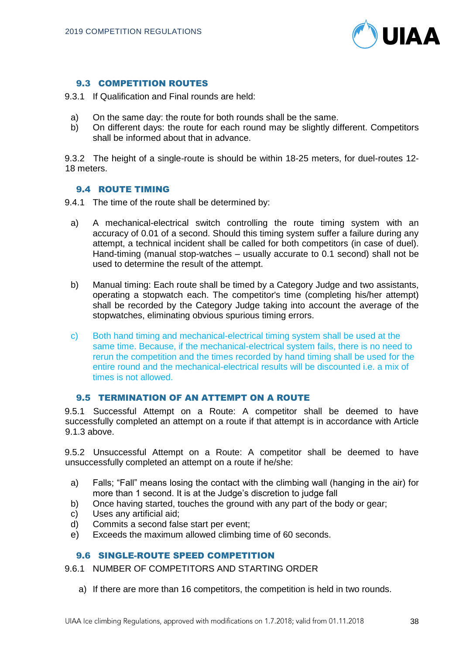

# 9.3 COMPETITION ROUTES

- 9.3.1 If Qualification and Final rounds are held:
	- a) On the same day: the route for both rounds shall be the same.
	- b) On different days: the route for each round may be slightly different. Competitors shall be informed about that in advance.

9.3.2 The height of a single-route is should be within 18-25 meters, for duel-routes 12- 18 meters.

## 9.4 ROUTE TIMING

9.4.1 The time of the route shall be determined by:

- a) A mechanical-electrical switch controlling the route timing system with an accuracy of 0.01 of a second. Should this timing system suffer a failure during any attempt, a technical incident shall be called for both competitors (in case of duel). Hand-timing (manual stop-watches – usually accurate to 0.1 second) shall not be used to determine the result of the attempt.
- b) Manual timing: Each route shall be timed by a Category Judge and two assistants, operating a stopwatch each. The competitor's time (completing his/her attempt) shall be recorded by the Category Judge taking into account the average of the stopwatches, eliminating obvious spurious timing errors.
- c) Both hand timing and mechanical-electrical timing system shall be used at the same time. Because, if the mechanical-electrical system fails, there is no need to rerun the competition and the times recorded by hand timing shall be used for the entire round and the mechanical-electrical results will be discounted i.e. a mix of times is not allowed.

#### 9.5 TERMINATION OF AN ATTEMPT ON A ROUTE

9.5.1 Successful Attempt on a Route: A competitor shall be deemed to have successfully completed an attempt on a route if that attempt is in accordance with Article 9.1.3 above.

9.5.2 Unsuccessful Attempt on a Route: A competitor shall be deemed to have unsuccessfully completed an attempt on a route if he/she:

- a) Falls; "Fall" means losing the contact with the climbing wall (hanging in the air) for more than 1 second. It is at the Judge's discretion to judge fall
- b) Once having started, touches the ground with any part of the body or gear;
- c) Uses any artificial aid;
- d) Commits a second false start per event;
- e) Exceeds the maximum allowed climbing time of 60 seconds.

# 9.6 SINGLE-ROUTE SPEED COMPETITION

9.6.1 NUMBER OF COMPETITORS AND STARTING ORDER

a) If there are more than 16 competitors, the competition is held in two rounds.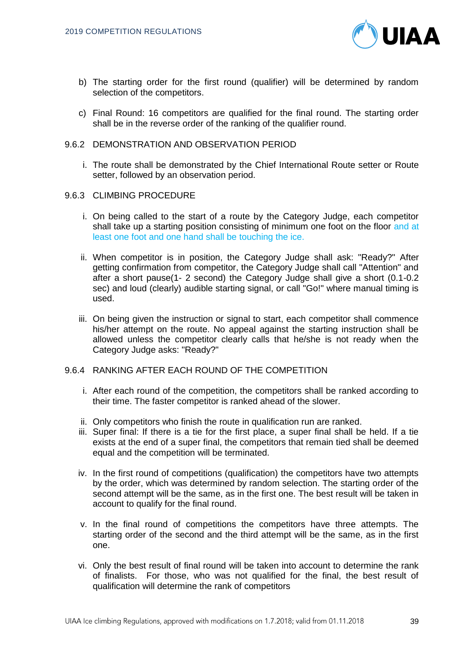

- b) The starting order for the first round (qualifier) will be determined by random selection of the competitors.
- c) Final Round: 16 competitors are qualified for the final round. The starting order shall be in the reverse order of the ranking of the qualifier round.
- 9.6.2 DEMONSTRATION AND OBSERVATION PERIOD
	- i. The route shall be demonstrated by the Chief International Route setter or Route setter, followed by an observation period.
- 9.6.3 CLIMBING PROCEDURE
	- i. On being called to the start of a route by the Category Judge, each competitor shall take up a starting position consisting of minimum one foot on the floor and at least one foot and one hand shall be touching the ice.
	- ii. When competitor is in position, the Category Judge shall ask: "Ready?" After getting confirmation from competitor, the Category Judge shall call "Attention" and after a short pause(1- 2 second) the Category Judge shall give a short (0.1-0.2 sec) and loud (clearly) audible starting signal, or call "Go!" where manual timing is used.
	- iii. On being given the instruction or signal to start, each competitor shall commence his/her attempt on the route. No appeal against the starting instruction shall be allowed unless the competitor clearly calls that he/she is not ready when the Category Judge asks: "Ready?"
- 9.6.4 RANKING AFTER EACH ROUND OF THE COMPETITION
	- i. After each round of the competition, the competitors shall be ranked according to their time. The faster competitor is ranked ahead of the slower.
	- ii. Only competitors who finish the route in qualification run are ranked.
	- iii. Super final: If there is a tie for the first place, a super final shall be held. If a tie exists at the end of a super final, the competitors that remain tied shall be deemed equal and the competition will be terminated.
	- iv. In the first round of competitions (qualification) the competitors have two attempts by the order, which was determined by random selection. The starting order of the second attempt will be the same, as in the first one. The best result will be taken in account to qualify for the final round.
	- v. In the final round of competitions the competitors have three attempts. The starting order of the second and the third attempt will be the same, as in the first one.
	- vi. Only the best result of final round will be taken into account to determine the rank of finalists. For those, who was not qualified for the final, the best result of qualification will determine the rank of competitors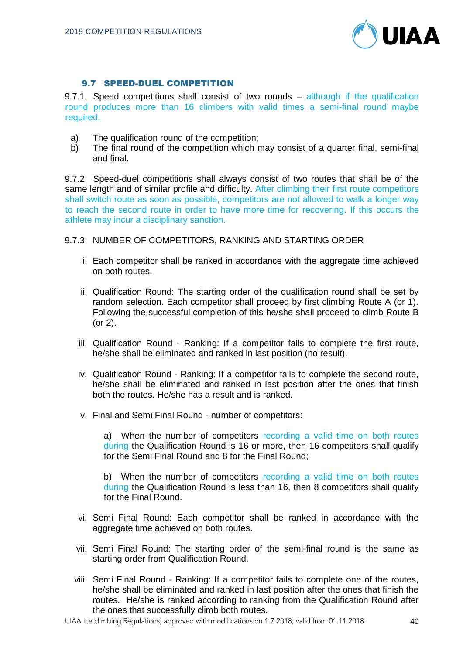

# 9.7 SPEED-DUEL COMPETITION

9.7.1 Speed competitions shall consist of two rounds – although if the qualification round produces more than 16 climbers with valid times a semi-final round maybe required.

- a) The qualification round of the competition;
- b) The final round of the competition which may consist of a quarter final, semi-final and final.

9.7.2 Speed-duel competitions shall always consist of two routes that shall be of the same length and of similar profile and difficulty. After climbing their first route competitors shall switch route as soon as possible, competitors are not allowed to walk a longer way to reach the second route in order to have more time for recovering. If this occurs the athlete may incur a disciplinary sanction.

## 9.7.3 NUMBER OF COMPETITORS, RANKING AND STARTING ORDER

- i. Each competitor shall be ranked in accordance with the aggregate time achieved on both routes.
- ii. Qualification Round: The starting order of the qualification round shall be set by random selection. Each competitor shall proceed by first climbing Route A (or 1). Following the successful completion of this he/she shall proceed to climb Route B (or 2).
- iii. Qualification Round Ranking: If a competitor fails to complete the first route, he/she shall be eliminated and ranked in last position (no result).
- iv. Qualification Round Ranking: If a competitor fails to complete the second route, he/she shall be eliminated and ranked in last position after the ones that finish both the routes. He/she has a result and is ranked.
- v. Final and Semi Final Round number of competitors:

a) When the number of competitors recording a valid time on both routes during the Qualification Round is 16 or more, then 16 competitors shall qualify for the Semi Final Round and 8 for the Final Round;

b) When the number of competitors recording a valid time on both routes during the Qualification Round is less than 16, then 8 competitors shall qualify for the Final Round.

- vi. Semi Final Round: Each competitor shall be ranked in accordance with the aggregate time achieved on both routes.
- vii. Semi Final Round: The starting order of the semi-final round is the same as starting order from Qualification Round.
- viii. Semi Final Round Ranking: If a competitor fails to complete one of the routes, he/she shall be eliminated and ranked in last position after the ones that finish the routes. He/she is ranked according to ranking from the Qualification Round after the ones that successfully climb both routes.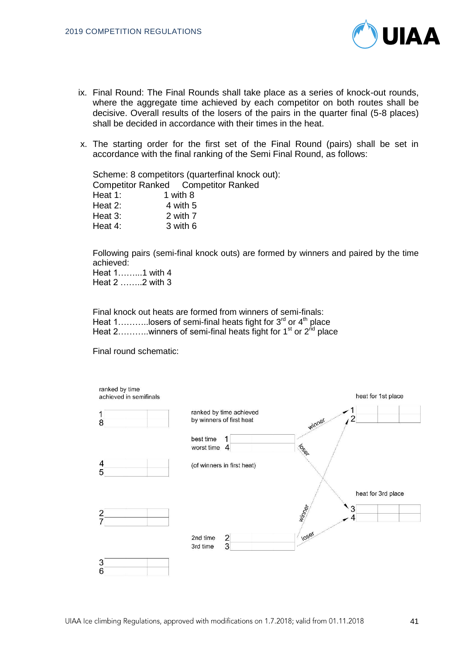

- ix. Final Round: The Final Rounds shall take place as a series of knock-out rounds, where the aggregate time achieved by each competitor on both routes shall be decisive. Overall results of the losers of the pairs in the quarter final (5-8 places) shall be decided in accordance with their times in the heat.
- x. The starting order for the first set of the Final Round (pairs) shall be set in accordance with the final ranking of the Semi Final Round, as follows:

Scheme: 8 competitors (quarterfinal knock out): Competitor Ranked Competitor Ranked Heat 1: 1 with 8 Heat  $2:$  4 with 5 Heat 3: 2 with 7 Heat 4: 3 with 6

Following pairs (semi-final knock outs) are formed by winners and paired by the time achieved:

Heat 1……...1 with 4 Heat 2 ……..2 with 3

Final knock out heats are formed from winners of semi-finals: Heat 1...........losers of semi-final heats fight for  $3^{rd}$  or  $4^{th}$  place Heat 2..........winners of semi-final heats fight for 1<sup>st</sup> or 2<sup>nd</sup> place

Final round schematic:

| ranked by time<br>achieved in semifinals |                                                     | heat for 1st place                |
|------------------------------------------|-----------------------------------------------------|-----------------------------------|
| 8                                        | ranked by time achieved<br>by winners of first heat | winner                            |
|                                          | best time<br>worst time<br>$\overline{4}$           | TON DO                            |
| 4<br>5                                   | (of winners in first heat)                          |                                   |
|                                          |                                                     | heat for 3rd place<br>Minney<br>3 |
|                                          | $\frac{2}{3}$<br>2nd time<br>3rd time               | <b>10ser</b>                      |
| 3<br>6                                   |                                                     |                                   |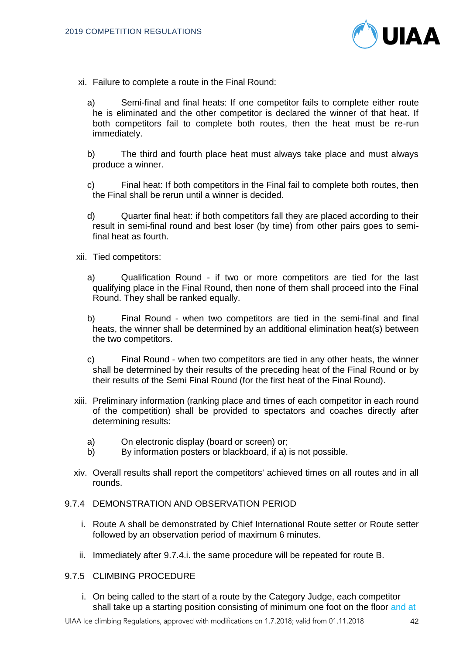

- xi. Failure to complete a route in the Final Round:
	- a) Semi-final and final heats: If one competitor fails to complete either route he is eliminated and the other competitor is declared the winner of that heat. If both competitors fail to complete both routes, then the heat must be re-run immediately.
	- b) The third and fourth place heat must always take place and must always produce a winner.
	- c) Final heat: If both competitors in the Final fail to complete both routes, then the Final shall be rerun until a winner is decided.
	- d) Quarter final heat: if both competitors fall they are placed according to their result in semi-final round and best loser (by time) from other pairs goes to semifinal heat as fourth.
- xii. Tied competitors:
	- a) Qualification Round if two or more competitors are tied for the last qualifying place in the Final Round, then none of them shall proceed into the Final Round. They shall be ranked equally.
	- b) Final Round when two competitors are tied in the semi-final and final heats, the winner shall be determined by an additional elimination heat(s) between the two competitors.
	- c) Final Round when two competitors are tied in any other heats, the winner shall be determined by their results of the preceding heat of the Final Round or by their results of the Semi Final Round (for the first heat of the Final Round).
- xiii. Preliminary information (ranking place and times of each competitor in each round of the competition) shall be provided to spectators and coaches directly after determining results:
	- a) On electronic display (board or screen) or;
	- b) By information posters or blackboard, if a) is not possible.
- xiv. Overall results shall report the competitors' achieved times on all routes and in all rounds.

## 9.7.4 DEMONSTRATION AND OBSERVATION PERIOD

- i. Route A shall be demonstrated by Chief International Route setter or Route setter followed by an observation period of maximum 6 minutes.
- ii. Immediately after 9.7.4.i. the same procedure will be repeated for route B.

# 9.7.5 CLIMBING PROCEDURE

i. On being called to the start of a route by the Category Judge, each competitor shall take up a starting position consisting of minimum one foot on the floor and at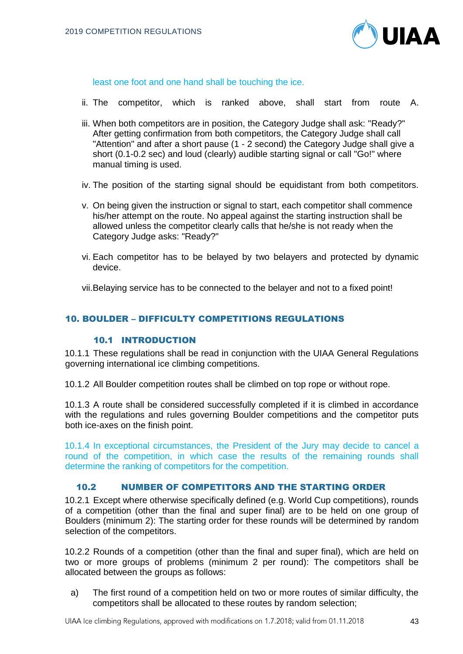

least one foot and one hand shall be touching the ice.

- ii. The competitor, which is ranked above, shall start from route A.
- iii. When both competitors are in position, the Category Judge shall ask: "Ready?" After getting confirmation from both competitors, the Category Judge shall call "Attention" and after a short pause (1 - 2 second) the Category Judge shall give a short (0.1-0.2 sec) and loud (clearly) audible starting signal or call "Go!" where manual timing is used.
- iv. The position of the starting signal should be equidistant from both competitors.
- v. On being given the instruction or signal to start, each competitor shall commence his/her attempt on the route. No appeal against the starting instruction shall be allowed unless the competitor clearly calls that he/she is not ready when the Category Judge asks: "Ready?"
- vi. Each competitor has to be belayed by two belayers and protected by dynamic device.

vii.Belaying service has to be connected to the belayer and not to a fixed point!

## 10. BOULDER – DIFFICULTY COMPETITIONS REGULATIONS

# 10.1 INTRODUCTION

10.1.1 These regulations shall be read in conjunction with the UIAA General Regulations governing international ice climbing competitions.

10.1.2 All Boulder competition routes shall be climbed on top rope or without rope.

10.1.3 A route shall be considered successfully completed if it is climbed in accordance with the regulations and rules governing Boulder competitions and the competitor puts both ice-axes on the finish point.

10.1.4 In exceptional circumstances, the President of the Jury may decide to cancel a round of the competition, in which case the results of the remaining rounds shall determine the ranking of competitors for the competition.

# 10.2 NUMBER OF COMPETITORS AND THE STARTING ORDER

10.2.1 Except where otherwise specifically defined (e.g. World Cup competitions), rounds of a competition (other than the final and super final) are to be held on one group of Boulders (minimum 2): The starting order for these rounds will be determined by random selection of the competitors.

10.2.2 Rounds of a competition (other than the final and super final), which are held on two or more groups of problems (minimum 2 per round): The competitors shall be allocated between the groups as follows:

a) The first round of a competition held on two or more routes of similar difficulty, the competitors shall be allocated to these routes by random selection;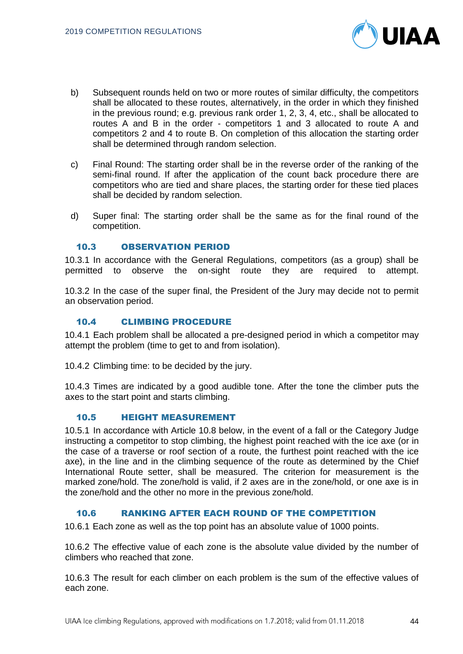

- b) Subsequent rounds held on two or more routes of similar difficulty, the competitors shall be allocated to these routes, alternatively, in the order in which they finished in the previous round; e.g. previous rank order 1, 2, 3, 4, etc., shall be allocated to routes A and B in the order - competitors 1 and 3 allocated to route A and competitors 2 and 4 to route B. On completion of this allocation the starting order shall be determined through random selection.
- c) Final Round: The starting order shall be in the reverse order of the ranking of the semi-final round. If after the application of the count back procedure there are competitors who are tied and share places, the starting order for these tied places shall be decided by random selection.
- d) Super final: The starting order shall be the same as for the final round of the competition.

#### 10.3 OBSERVATION PERIOD

10.3.1 In accordance with the General Regulations, competitors (as a group) shall be permitted to observe the on-sight route they are required to attempt.

10.3.2 In the case of the super final, the President of the Jury may decide not to permit an observation period.

#### 10.4 CLIMBING PROCEDURE

10.4.1 Each problem shall be allocated a pre-designed period in which a competitor may attempt the problem (time to get to and from isolation).

10.4.2 Climbing time: to be decided by the jury.

10.4.3 Times are indicated by a good audible tone. After the tone the climber puts the axes to the start point and starts climbing.

# 10.5 HEIGHT MEASUREMENT

10.5.1 In accordance with Article 10.8 below, in the event of a fall or the Category Judge instructing a competitor to stop climbing, the highest point reached with the ice axe (or in the case of a traverse or roof section of a route, the furthest point reached with the ice axe), in the line and in the climbing sequence of the route as determined by the Chief International Route setter, shall be measured. The criterion for measurement is the marked zone/hold. The zone/hold is valid, if 2 axes are in the zone/hold, or one axe is in the zone/hold and the other no more in the previous zone/hold.

## 10.6 RANKING AFTER EACH ROUND OF THE COMPETITION

10.6.1 Each zone as well as the top point has an absolute value of 1000 points.

10.6.2 The effective value of each zone is the absolute value divided by the number of climbers who reached that zone.

10.6.3 The result for each climber on each problem is the sum of the effective values of each zone.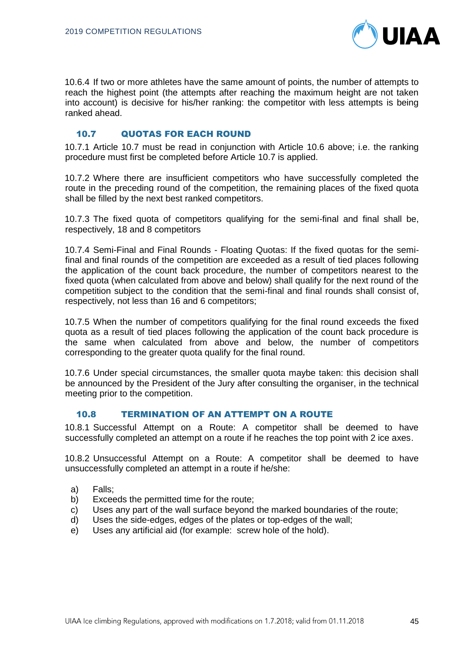

10.6.4 If two or more athletes have the same amount of points, the number of attempts to reach the highest point (the attempts after reaching the maximum height are not taken into account) is decisive for his/her ranking: the competitor with less attempts is being ranked ahead.

# 10.7 QUOTAS FOR EACH ROUND

10.7.1 Article 10.7 must be read in conjunction with Article 10.6 above; i.e. the ranking procedure must first be completed before Article 10.7 is applied.

10.7.2 Where there are insufficient competitors who have successfully completed the route in the preceding round of the competition, the remaining places of the fixed quota shall be filled by the next best ranked competitors.

10.7.3 The fixed quota of competitors qualifying for the semi-final and final shall be, respectively, 18 and 8 competitors

10.7.4 Semi-Final and Final Rounds - Floating Quotas: If the fixed quotas for the semifinal and final rounds of the competition are exceeded as a result of tied places following the application of the count back procedure, the number of competitors nearest to the fixed quota (when calculated from above and below) shall qualify for the next round of the competition subject to the condition that the semi-final and final rounds shall consist of, respectively, not less than 16 and 6 competitors;

10.7.5 When the number of competitors qualifying for the final round exceeds the fixed quota as a result of tied places following the application of the count back procedure is the same when calculated from above and below, the number of competitors corresponding to the greater quota qualify for the final round.

10.7.6 Under special circumstances, the smaller quota maybe taken: this decision shall be announced by the President of the Jury after consulting the organiser, in the technical meeting prior to the competition.

# 10.8 TERMINATION OF AN ATTEMPT ON A ROUTE

10.8.1 Successful Attempt on a Route: A competitor shall be deemed to have successfully completed an attempt on a route if he reaches the top point with 2 ice axes.

10.8.2 Unsuccessful Attempt on a Route: A competitor shall be deemed to have unsuccessfully completed an attempt in a route if he/she:

- a) Falls;
- b) Exceeds the permitted time for the route;
- c) Uses any part of the wall surface beyond the marked boundaries of the route;
- d) Uses the side-edges, edges of the plates or top-edges of the wall;
- e) Uses any artificial aid (for example: screw hole of the hold).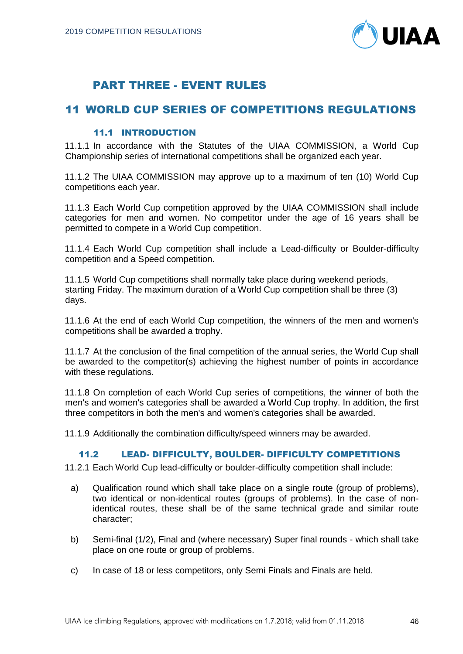

# PART THREE - EVENT RULES

# 11 WORLD CUP SERIES OF COMPETITIONS REGULATIONS

# 11.1 INTRODUCTION

11.1.1 In accordance with the Statutes of the UIAA COMMISSION, a World Cup Championship series of international competitions shall be organized each year.

11.1.2 The UIAA COMMISSION may approve up to a maximum of ten (10) World Cup competitions each year.

11.1.3 Each World Cup competition approved by the UIAA COMMISSION shall include categories for men and women. No competitor under the age of 16 years shall be permitted to compete in a World Cup competition.

11.1.4 Each World Cup competition shall include a Lead-difficulty or Boulder-difficulty competition and a Speed competition.

11.1.5 World Cup competitions shall normally take place during weekend periods, starting Friday. The maximum duration of a World Cup competition shall be three (3) days.

11.1.6 At the end of each World Cup competition, the winners of the men and women's competitions shall be awarded a trophy.

11.1.7 At the conclusion of the final competition of the annual series, the World Cup shall be awarded to the competitor(s) achieving the highest number of points in accordance with these regulations.

11.1.8 On completion of each World Cup series of competitions, the winner of both the men's and women's categories shall be awarded a World Cup trophy. In addition, the first three competitors in both the men's and women's categories shall be awarded.

11.1.9 Additionally the combination difficulty/speed winners may be awarded.

## 11.2 LEAD- DIFFICULTY, BOULDER- DIFFICULTY COMPETITIONS

11.2.1 Each World Cup lead-difficulty or boulder-difficulty competition shall include:

- a) Qualification round which shall take place on a single route (group of problems), two identical or non-identical routes (groups of problems). In the case of nonidentical routes, these shall be of the same technical grade and similar route character;
- b) Semi-final (1/2), Final and (where necessary) Super final rounds which shall take place on one route or group of problems.
- c) In case of 18 or less competitors, only Semi Finals and Finals are held.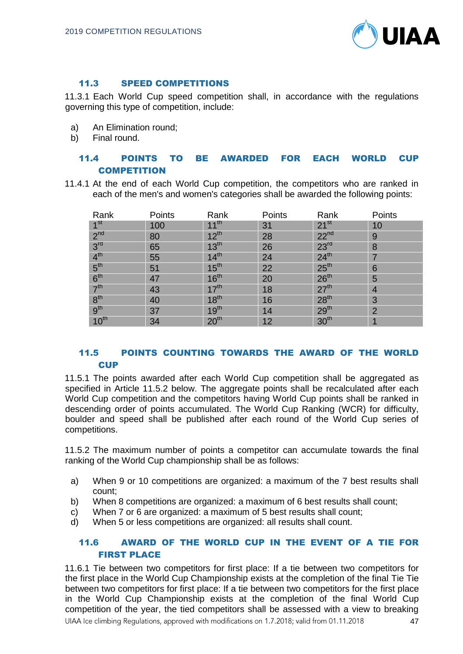

# 11.3 SPEED COMPETITIONS

11.3.1 Each World Cup speed competition shall, in accordance with the regulations governing this type of competition, include:

- a) An Elimination round;
- b) Final round.

# 11.4 POINTS TO BE AWARDED FOR EACH WORLD CUP **COMPETITION**

11.4.1 At the end of each World Cup competition, the competitors who are ranked in each of the men's and women's categories shall be awarded the following points:

| Rank            | Points | Rank             | Points | Rank             | Points         |
|-----------------|--------|------------------|--------|------------------|----------------|
| 1 <sup>st</sup> | 100    | $11^{th}$        | 31     | $21^{st}$        | 10             |
| 2 <sup>nd</sup> | 80     | $12^{th}$        | 28     | $22^{nd}$        | 9              |
| 3 <sup>rd</sup> | 65     | 13 <sup>th</sup> | 26     | 23 <sup>rd</sup> | 8              |
| 4 <sup>th</sup> | 55     | 14 <sup>th</sup> | 24     | 24 <sup>th</sup> |                |
| 5 <sup>th</sup> | 51     | 15 <sup>th</sup> | 22     | 25 <sup>th</sup> | 6              |
| 6 <sup>th</sup> | 47     | 16 <sup>th</sup> | 20     | 26 <sup>th</sup> | 5              |
| 7 <sup>th</sup> | 43     | 17 <sup>th</sup> | 18     | 27 <sup>th</sup> | $\overline{4}$ |
| 8 <sup>th</sup> | 40     | 18 <sup>th</sup> | 16     | 28 <sup>th</sup> | 3              |
| 9 <sup>th</sup> | 37     | 19 <sup>th</sup> | 14     | 29 <sup>th</sup> | $\overline{2}$ |
| $10^{th}$       | 34     | 20 <sup>th</sup> | 12     | 30 <sup>th</sup> |                |

# 11.5 POINTS COUNTING TOWARDS THE AWARD OF THE WORLD **CUP**

11.5.1 The points awarded after each World Cup competition shall be aggregated as specified in Article 11.5.2 below. The aggregate points shall be recalculated after each World Cup competition and the competitors having World Cup points shall be ranked in descending order of points accumulated. The World Cup Ranking (WCR) for difficulty, boulder and speed shall be published after each round of the World Cup series of competitions.

11.5.2 The maximum number of points a competitor can accumulate towards the final ranking of the World Cup championship shall be as follows:

- a) When 9 or 10 competitions are organized: a maximum of the 7 best results shall count;
- b) When 8 competitions are organized: a maximum of 6 best results shall count;
- c) When 7 or 6 are organized: a maximum of 5 best results shall count;
- d) When 5 or less competitions are organized: all results shall count.

# 11.6 AWARD OF THE WORLD CUP IN THE EVENT OF A TIE FOR FIRST PLACE

11.6.1 Tie between two competitors for first place: If a tie between two competitors for the first place in the World Cup Championship exists at the completion of the final Tie Tie between two competitors for first place: If a tie between two competitors for the first place in the World Cup Championship exists at the completion of the final World Cup competition of the year, the tied competitors shall be assessed with a view to breaking UIAA Ice climbing Regulations, approved with modifications on 1.7.2018; valid from 01.11.2018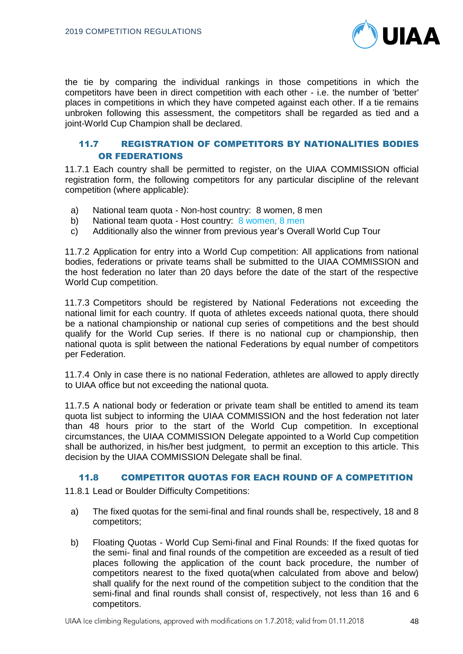

the tie by comparing the individual rankings in those competitions in which the competitors have been in direct competition with each other - i.e. the number of 'better' places in competitions in which they have competed against each other. If a tie remains unbroken following this assessment, the competitors shall be regarded as tied and a joint-World Cup Champion shall be declared.

# 11.7 REGISTRATION OF COMPETITORS BY NATIONALITIES BODIES OR FEDERATIONS

11.7.1 Each country shall be permitted to register, on the UIAA COMMISSION official registration form, the following competitors for any particular discipline of the relevant competition (where applicable):

- a) National team quota Non-host country: 8 women, 8 men
- b) National team quota Host country: 8 women, 8 men
- c) Additionally also the winner from previous year's Overall World Cup Tour

11.7.2 Application for entry into a World Cup competition: All applications from national bodies, federations or private teams shall be submitted to the UIAA COMMISSION and the host federation no later than 20 days before the date of the start of the respective World Cup competition.

11.7.3 Competitors should be registered by National Federations not exceeding the national limit for each country. If quota of athletes exceeds national quota, there should be a national championship or national cup series of competitions and the best should qualify for the World Cup series. If there is no national cup or championship, then national quota is split between the national Federations by equal number of competitors per Federation.

11.7.4 Only in case there is no national Federation, athletes are allowed to apply directly to UIAA office but not exceeding the national quota.

11.7.5 A national body or federation or private team shall be entitled to amend its team quota list subject to informing the UIAA COMMISSION and the host federation not later than 48 hours prior to the start of the World Cup competition. In exceptional circumstances, the UIAA COMMISSION Delegate appointed to a World Cup competition shall be authorized, in his/her best judgment, to permit an exception to this article. This decision by the UIAA COMMISSION Delegate shall be final.

#### 11.8 COMPETITOR QUOTAS FOR EACH ROUND OF A COMPETITION

11.8.1 Lead or Boulder Difficulty Competitions:

- a) The fixed quotas for the semi-final and final rounds shall be, respectively, 18 and 8 competitors;
- b) Floating Quotas World Cup Semi-final and Final Rounds: If the fixed quotas for the semi- final and final rounds of the competition are exceeded as a result of tied places following the application of the count back procedure, the number of competitors nearest to the fixed quota(when calculated from above and below) shall qualify for the next round of the competition subject to the condition that the semi-final and final rounds shall consist of, respectively, not less than 16 and 6 competitors.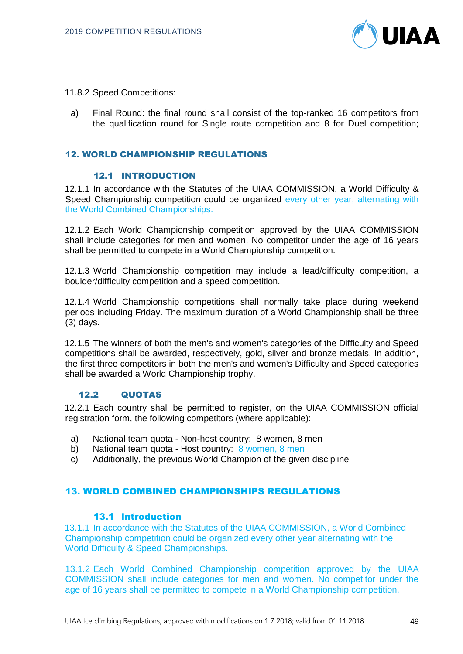

- 11.8.2 Speed Competitions:
	- a) Final Round: the final round shall consist of the top-ranked 16 competitors from the qualification round for Single route competition and 8 for Duel competition;

## 12. WORLD CHAMPIONSHIP REGULATIONS

# 12.1 INTRODUCTION

12.1.1 In accordance with the Statutes of the UIAA COMMISSION, a World Difficulty & Speed Championship competition could be organized every other year, alternating with the World Combined Championships.

12.1.2 Each World Championship competition approved by the UIAA COMMISSION shall include categories for men and women. No competitor under the age of 16 years shall be permitted to compete in a World Championship competition.

12.1.3 World Championship competition may include a lead/difficulty competition, a boulder/difficulty competition and a speed competition.

12.1.4 World Championship competitions shall normally take place during weekend periods including Friday. The maximum duration of a World Championship shall be three (3) days.

12.1.5 The winners of both the men's and women's categories of the Difficulty and Speed competitions shall be awarded, respectively, gold, silver and bronze medals. In addition, the first three competitors in both the men's and women's Difficulty and Speed categories shall be awarded a World Championship trophy.

#### 12.2 QUOTAS

12.2.1 Each country shall be permitted to register, on the UIAA COMMISSION official registration form, the following competitors (where applicable):

- a) National team quota Non-host country: 8 women, 8 men
- b) National team quota Host country: 8 women, 8 men
- c) Additionally, the previous World Champion of the given discipline

## 13. WORLD COMBINED CHAMPIONSHIPS REGULATIONS

## 13.1 Introduction

13.1.1 In accordance with the Statutes of the UIAA COMMISSION, a World Combined Championship competition could be organized every other year alternating with the World Difficulty & Speed Championships.

13.1.2 Each World Combined Championship competition approved by the UIAA COMMISSION shall include categories for men and women. No competitor under the age of 16 years shall be permitted to compete in a World Championship competition.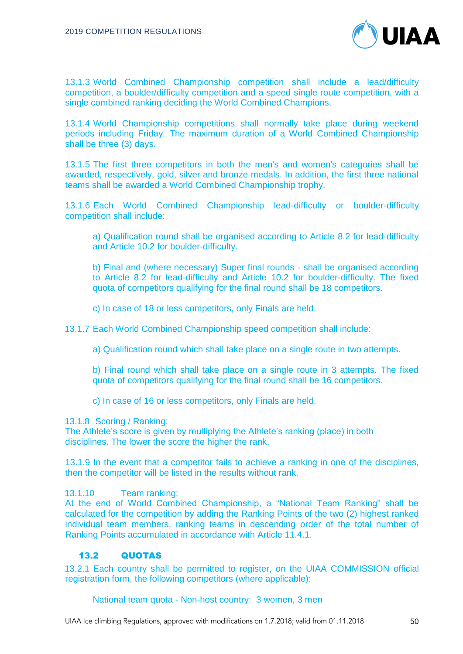

13.1.3 World Combined Championship competition shall include a lead/difficulty competition, a boulder/difficulty competition and a speed single route competition, with a single combined ranking deciding the World Combined Champions.

13.1.4 World Championship competitions shall normally take place during weekend periods including Friday. The maximum duration of a World Combined Championship shall be three (3) days.

13.1.5 The first three competitors in both the men's and women's categories shall be awarded, respectively, gold, silver and bronze medals. In addition, the first three national teams shall be awarded a World Combined Championship trophy.

13.1.6 Each World Combined Championship lead-difficulty or boulder-difficulty competition shall include:

a) Qualification round shall be organised according to Article 8.2 for lead-difficulty and Article 10.2 for boulder-difficulty.

b) Final and (where necessary) Super final rounds - shall be organised according to Article 8.2 for lead-difficulty and Article 10.2 for boulder-difficulty. The fixed quota of competitors qualifying for the final round shall be 18 competitors.

c) In case of 18 or less competitors, only Finals are held.

13.1.7 Each World Combined Championship speed competition shall include:

a) Qualification round which shall take place on a single route in two attempts.

b) Final round which shall take place on a single route in 3 attempts. The fixed quota of competitors qualifying for the final round shall be 16 competitors.

c) In case of 16 or less competitors, only Finals are held.

13.1.8 Scoring / Ranking:

The Athlete's score is given by multiplying the Athlete's ranking (place) in both disciplines. The lower the score the higher the rank.

13.1.9 In the event that a competitor fails to achieve a ranking in one of the disciplines, then the competitor will be listed in the results without rank.

13.1.10 Team ranking:

At the end of World Combined Championship, a "National Team Ranking" shall be calculated for the competition by adding the Ranking Points of the two (2) highest ranked individual team members, ranking teams in descending order of the total number of Ranking Points accumulated in accordance with Article 11.4.1.

## 13.2 QUOTAS

13.2.1 Each country shall be permitted to register, on the UIAA COMMISSION official registration form, the following competitors (where applicable):

National team quota - Non-host country: 3 women, 3 men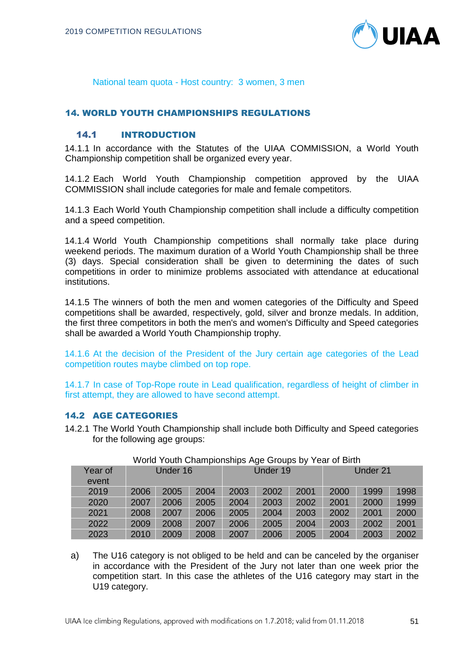

National team quota - Host country: 3 women, 3 men

# 14. WORLD YOUTH CHAMPIONSHIPS REGULATIONS

# 14.1 INTRODUCTION

14.1.1 In accordance with the Statutes of the UIAA COMMISSION, a World Youth Championship competition shall be organized every year.

14.1.2 Each World Youth Championship competition approved by the UIAA COMMISSION shall include categories for male and female competitors.

14.1.3 Each World Youth Championship competition shall include a difficulty competition and a speed competition.

14.1.4 World Youth Championship competitions shall normally take place during weekend periods. The maximum duration of a World Youth Championship shall be three (3) days. Special consideration shall be given to determining the dates of such competitions in order to minimize problems associated with attendance at educational institutions.

14.1.5 The winners of both the men and women categories of the Difficulty and Speed competitions shall be awarded, respectively, gold, silver and bronze medals. In addition, the first three competitors in both the men's and women's Difficulty and Speed categories shall be awarded a World Youth Championship trophy.

14.1.6 At the decision of the President of the Jury certain age categories of the Lead competition routes maybe climbed on top rope.

14.1.7 In case of Top-Rope route in Lead qualification, regardless of height of climber in first attempt, they are allowed to have second attempt.

#### 14.2 AGE CATEGORIES

14.2.1 The World Youth Championship shall include both Difficulty and Speed categories for the following age groups:

| Year of<br>event | Under 16 |      | Under 19 |      | Under 21 |      |      |      |      |
|------------------|----------|------|----------|------|----------|------|------|------|------|
| 2019             | 2006     | 2005 | 2004     | 2003 | 2002     | 2001 | 2000 | 1999 | 1998 |
| 2020             | 2007     | 2006 | 2005     | 2004 | 2003     | 2002 | 2001 | 2000 | 1999 |
| 2021             | 2008     | 2007 | 2006     | 2005 | 2004     | 2003 | 2002 | 2001 | 2000 |
| 2022             | 2009     | 2008 | 2007     | 2006 | 2005     | 2004 | 2003 | 2002 | 2001 |
| 2023             | 2010     | 2009 | 2008     | 2007 | 2006     | 2005 | 2004 | 2003 | 2002 |

#### World Youth Championships Age Groups by Year of Birth

a) The U16 category is not obliged to be held and can be canceled by the organiser in accordance with the President of the Jury not later than one week prior the competition start. In this case the athletes of the U16 category may start in the U19 category.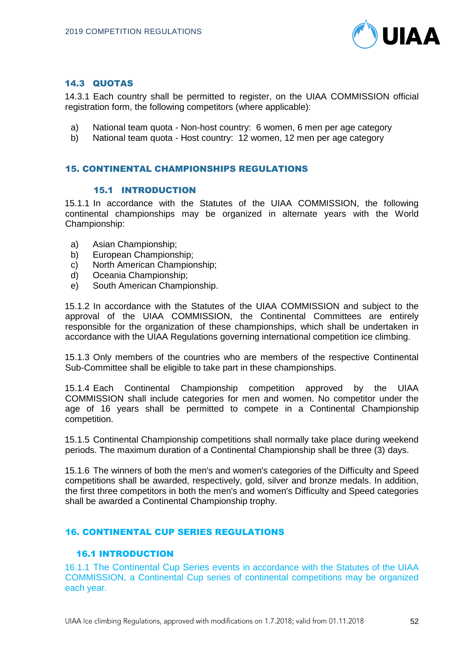

# 14.3 QUOTAS

14.3.1 Each country shall be permitted to register, on the UIAA COMMISSION official registration form, the following competitors (where applicable):

- a) National team quota Non-host country: 6 women, 6 men per age category
- b) National team quota Host country: 12 women, 12 men per age category

## 15. CONTINENTAL CHAMPIONSHIPS REGULATIONS

#### 15.1 INTRODUCTION

15.1.1 In accordance with the Statutes of the UIAA COMMISSION, the following continental championships may be organized in alternate years with the World Championship:

- a) Asian Championship;
- b) European Championship;
- c) North American Championship;
- d) Oceania Championship;
- e) South American Championship.

15.1.2 In accordance with the Statutes of the UIAA COMMISSION and subject to the approval of the UIAA COMMISSION, the Continental Committees are entirely responsible for the organization of these championships, which shall be undertaken in accordance with the UIAA Regulations governing international competition ice climbing.

15.1.3 Only members of the countries who are members of the respective Continental Sub-Committee shall be eligible to take part in these championships.

15.1.4 Each Continental Championship competition approved by the UIAA COMMISSION shall include categories for men and women. No competitor under the age of 16 years shall be permitted to compete in a Continental Championship competition.

15.1.5 Continental Championship competitions shall normally take place during weekend periods. The maximum duration of a Continental Championship shall be three (3) days.

15.1.6 The winners of both the men's and women's categories of the Difficulty and Speed competitions shall be awarded, respectively, gold, silver and bronze medals. In addition, the first three competitors in both the men's and women's Difficulty and Speed categories shall be awarded a Continental Championship trophy.

## 16. CONTINENTAL CUP SERIES REGULATIONS

## 16.1 INTRODUCTION

16.1.1 The Continental Cup Series events in accordance with the Statutes of the UIAA COMMISSION, a Continental Cup series of continental competitions may be organized each year.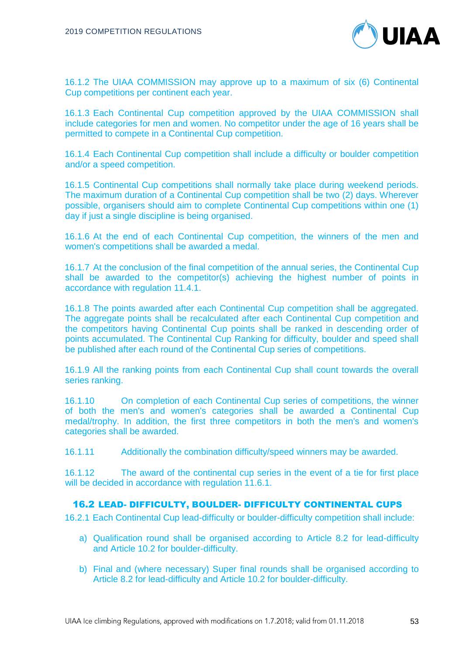

16.1.2 The UIAA COMMISSION may approve up to a maximum of six (6) Continental Cup competitions per continent each year.

16.1.3 Each Continental Cup competition approved by the UIAA COMMISSION shall include categories for men and women. No competitor under the age of 16 years shall be permitted to compete in a Continental Cup competition.

16.1.4 Each Continental Cup competition shall include a difficulty or boulder competition and/or a speed competition.

16.1.5 Continental Cup competitions shall normally take place during weekend periods. The maximum duration of a Continental Cup competition shall be two (2) days. Wherever possible, organisers should aim to complete Continental Cup competitions within one (1) day if just a single discipline is being organised.

16.1.6 At the end of each Continental Cup competition, the winners of the men and women's competitions shall be awarded a medal.

16.1.7 At the conclusion of the final competition of the annual series, the Continental Cup shall be awarded to the competitor(s) achieving the highest number of points in accordance with regulation 11.4.1.

16.1.8 The points awarded after each Continental Cup competition shall be aggregated. The aggregate points shall be recalculated after each Continental Cup competition and the competitors having Continental Cup points shall be ranked in descending order of points accumulated. The Continental Cup Ranking for difficulty, boulder and speed shall be published after each round of the Continental Cup series of competitions.

16.1.9 All the ranking points from each Continental Cup shall count towards the overall series ranking.

16.1.10 On completion of each Continental Cup series of competitions, the winner of both the men's and women's categories shall be awarded a Continental Cup medal/trophy. In addition, the first three competitors in both the men's and women's categories shall be awarded.

16.1.11 Additionally the combination difficulty/speed winners may be awarded.

16.1.12 The award of the continental cup series in the event of a tie for first place will be decided in accordance with regulation 11.6.1.

## 16.2 LEAD- DIFFICULTY, BOULDER- DIFFICULTY CONTINENTAL CUPS

16.2.1 Each Continental Cup lead-difficulty or boulder-difficulty competition shall include:

- a) Qualification round shall be organised according to Article 8.2 for lead-difficulty and Article 10.2 for boulder-difficulty.
- b) Final and (where necessary) Super final rounds shall be organised according to Article 8.2 for lead-difficulty and Article 10.2 for boulder-difficulty.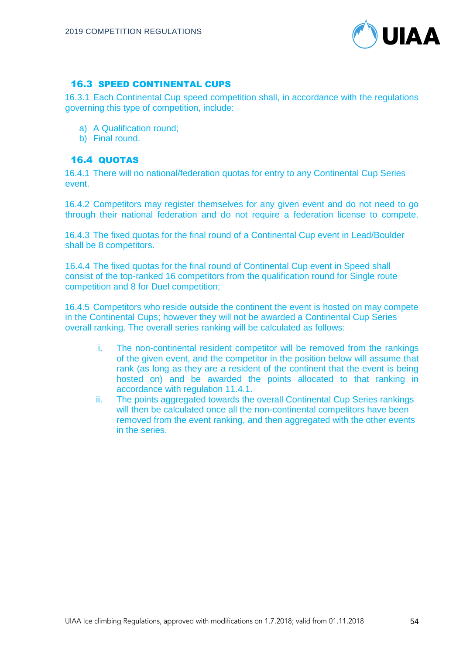

# 16.3 SPEED CONTINENTAL CUPS

16.3.1 Each Continental Cup speed competition shall, in accordance with the regulations governing this type of competition, include:

- a) A Qualification round;
- b) Final round.

# 16.4 QUOTAS

16.4.1 There will no national/federation quotas for entry to any Continental Cup Series event.

16.4.2 Competitors may register themselves for any given event and do not need to go through their national federation and do not require a federation license to compete.

16.4.3 The fixed quotas for the final round of a Continental Cup event in Lead/Boulder shall be 8 competitors.

16.4.4 The fixed quotas for the final round of Continental Cup event in Speed shall consist of the top-ranked 16 competitors from the qualification round for Single route competition and 8 for Duel competition;

16.4.5 Competitors who reside outside the continent the event is hosted on may compete in the Continental Cups; however they will not be awarded a Continental Cup Series overall ranking. The overall series ranking will be calculated as follows:

- i. The non-continental resident competitor will be removed from the rankings of the given event, and the competitor in the position below will assume that rank (as long as they are a resident of the continent that the event is being hosted on) and be awarded the points allocated to that ranking in accordance with regulation 11.4.1.
- ii. The points aggregated towards the overall Continental Cup Series rankings will then be calculated once all the non-continental competitors have been removed from the event ranking, and then aggregated with the other events in the series.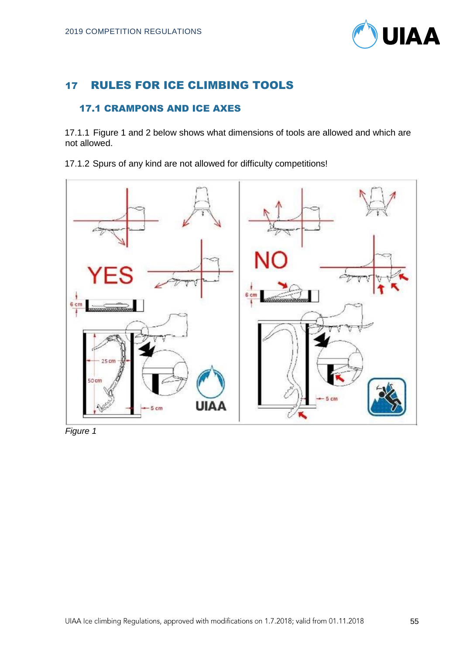

# 17 RULES FOR ICE CLIMBING TOOLS

# 17.1 CRAMPONS AND ICE AXES

17.1.1 Figure 1 and 2 below shows what dimensions of tools are allowed and which are not allowed.

17.1.2 Spurs of any kind are not allowed for difficulty competitions!